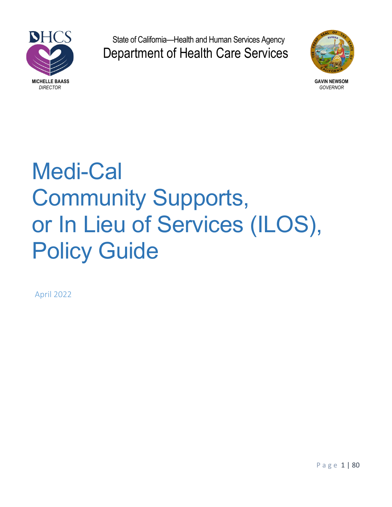

State of California—Health and Human Services Agency Department of Health Care Services



# Medi-Cal Community Supports, or In Lieu of Services (ILOS), Policy Guide

April 2022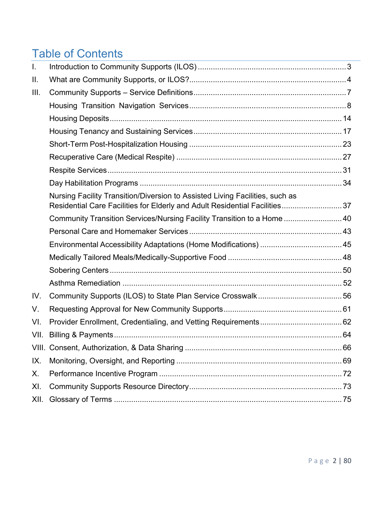# Table of Contents

| I.   |                                                                                                                                                             |  |
|------|-------------------------------------------------------------------------------------------------------------------------------------------------------------|--|
| II.  |                                                                                                                                                             |  |
| III. |                                                                                                                                                             |  |
|      |                                                                                                                                                             |  |
|      |                                                                                                                                                             |  |
|      |                                                                                                                                                             |  |
|      |                                                                                                                                                             |  |
|      |                                                                                                                                                             |  |
|      |                                                                                                                                                             |  |
|      |                                                                                                                                                             |  |
|      | Nursing Facility Transition/Diversion to Assisted Living Facilities, such as<br>Residential Care Facilities for Elderly and Adult Residential Facilities 37 |  |
|      | Community Transition Services/Nursing Facility Transition to a Home  40                                                                                     |  |
|      |                                                                                                                                                             |  |
|      |                                                                                                                                                             |  |
|      |                                                                                                                                                             |  |
|      |                                                                                                                                                             |  |
|      |                                                                                                                                                             |  |
| IV.  |                                                                                                                                                             |  |
| V.   |                                                                                                                                                             |  |
| VI.  |                                                                                                                                                             |  |
| VII. |                                                                                                                                                             |  |
|      |                                                                                                                                                             |  |
| IX.  |                                                                                                                                                             |  |
| Х.   |                                                                                                                                                             |  |
| XI.  |                                                                                                                                                             |  |
| XII. |                                                                                                                                                             |  |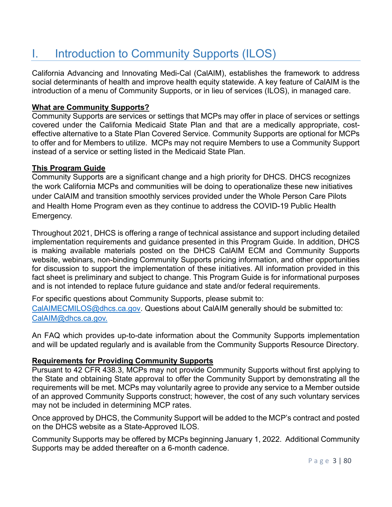# I. Introduction to Community Supports (ILOS)

California Advancing and Innovating Medi-Cal (CalAIM), establishes the framework to address social determinants of health and improve health equity statewide. A key feature of CalAIM is the introduction of a menu of Community Supports, or in lieu of services (ILOS), in managed care.

#### **What are Community Supports?**

Community Supports are services or settings that MCPs may offer in place of services or settings covered under the California Medicaid State Plan and that are a medically appropriate, costeffective alternative to a State Plan Covered Service. Community Supports are optional for MCPs to offer and for Members to utilize. MCPs may not require Members to use a Community Support instead of a service or setting listed in the Medicaid State Plan.

#### **This Program Guide**

Community Supports are a significant change and a high priority for DHCS. DHCS recognizes the work California MCPs and communities will be doing to operationalize these new initiatives under CalAIM and transition smoothly services provided under the Whole Person Care Pilots and Health Home Program even as they continue to address the COVID-19 Public Health Emergency.

Throughout 2021, DHCS is offering a range of technical assistance and support including detailed implementation requirements and guidance presented in this Program Guide. In addition, DHCS is making available materials posted on the DHCS CalAIM ECM and Community Supports website, webinars, non-binding Community Supports pricing information, and other opportunities for discussion to support the implementation of these initiatives. All information provided in this fact sheet is preliminary and subject to change. This Program Guide is for informational purposes and is not intended to replace future guidance and state and/or federal requirements.

For specific questions about Community Supports, please submit to: CalAIMECMILOS@dhcs.ca.gov. Questions about CalAIM generally should be submitted to: CalAIM@dhcs.ca.gov.

An FAQ which provides up-to-date information about the Community Supports implementation and will be updated regularly and is available from the Community Supports Resource Directory.

#### **Requirements for Providing Community Supports**

Pursuant to 42 CFR 438.3, MCPs may not provide Community Supports without first applying to the State and obtaining State approval to offer the Community Support by demonstrating all the requirements will be met. MCPs may voluntarily agree to provide any service to a Member outside of an approved Community Supports construct; however, the cost of any such voluntary services may not be included in determining MCP rates.

Once approved by DHCS, the Community Support will be added to the MCP's contract and posted on the DHCS website as a State-Approved ILOS.

Community Supports may be offered by MCPs beginning January 1, 2022. Additional Community Supports may be added thereafter on a 6-month cadence.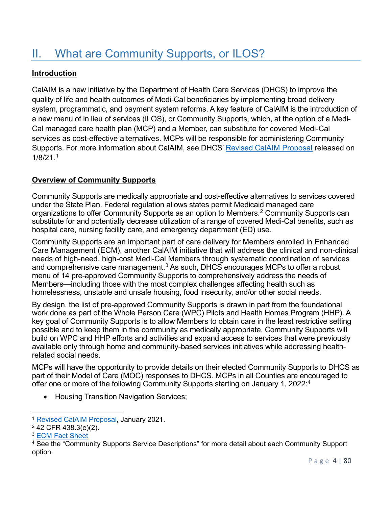# II. What are Community Supports, or ILOS?

#### **Introduction**

CalAIM is a new initiative by the Department of Health Care Services (DHCS) to improve the quality of life and health outcomes of Medi-Cal beneficiaries by implementing broad delivery system, programmatic, and payment system reforms. A key feature of CalAIM is the introduction of a new menu of in lieu of services (ILOS), or Community Supports, which, at the option of a Medi-Cal managed care health plan (MCP) and a Member, can substitute for covered Medi-Cal services as cost-effective alternatives. MCPs will be responsible for administering Community Supports. For more information about CalAIM, see DHCS' Revised CalAIM Proposal released on 1/8/21.1

#### **Overview of Community Supports**

Community Supports are medically appropriate and cost-effective alternatives to services covered under the State Plan. Federal regulation allows states permit Medicaid managed care organizations to offer Community Supports as an option to Members. <sup>2</sup> Community Supports can substitute for and potentially decrease utilization of a range of covered Medi-Cal benefits, such as hospital care, nursing facility care, and emergency department (ED) use.

Community Supports are an important part of care delivery for Members enrolled in Enhanced Care Management (ECM), another CalAIM initiative that will address the clinical and non-clinical needs of high-need, high-cost Medi-Cal Members through systematic coordination of services and comprehensive care management. $^3$  As such, DHCS encourages MCPs to offer a robust menu of 14 pre-approved Community Supports to comprehensively address the needs of Members—including those with the most complex challenges affecting health such as homelessness, unstable and unsafe housing, food insecurity, and/or other social needs.

By design, the list of pre-approved Community Supports is drawn in part from the foundational work done as part of the Whole Person Care (WPC) Pilots and Health Homes Program (HHP). A key goal of Community Supports is to allow Members to obtain care in the least restrictive setting possible and to keep them in the community as medically appropriate. Community Supports will build on WPC and HHP efforts and activities and expand access to services that were previously available only through home and community-based services initiatives while addressing healthrelated social needs.

MCPs will have the opportunity to provide details on their elected Community Supports to DHCS as part of their Model of Care (MOC) responses to DHCS. MCPs in all Counties are encouraged to offer one or more of the following Community Supports starting on January 1, 2022:4

• Housing Transition Navigation Services;

<sup>1</sup> Revised CalAIM Proposal, January 2021.

 $2\sqrt{42}$  CFR 438.3(e)(2).

<sup>3</sup> ECM Fact Sheet

<sup>&</sup>lt;sup>4</sup> See the "Community Supports Service Descriptions" for more detail about each Community Support option.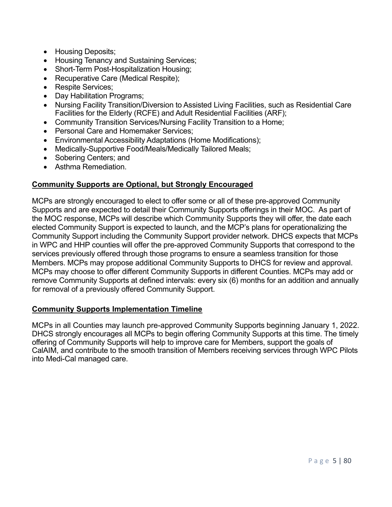- Housing Deposits;
- Housing Tenancy and Sustaining Services;
- Short-Term Post-Hospitalization Housing;
- Recuperative Care (Medical Respite);
- Respite Services;
- Day Habilitation Programs:
- Nursing Facility Transition/Diversion to Assisted Living Facilities, such as Residential Care Facilities for the Elderly (RCFE) and Adult Residential Facilities (ARF);
- Community Transition Services/Nursing Facility Transition to a Home;
- Personal Care and Homemaker Services;
- Environmental Accessibility Adaptations (Home Modifications);
- Medically-Supportive Food/Meals/Medically Tailored Meals;
- Sobering Centers; and
- Asthma Remediation.

#### **Community Supports are Optional, but Strongly Encouraged**

MCPs are strongly encouraged to elect to offer some or all of these pre-approved Community Supports and are expected to detail their Community Supports offerings in their MOC. As part of the MOC response, MCPs will describe which Community Supports they will offer, the date each elected Community Support is expected to launch, and the MCP's plans for operationalizing the Community Support including the Community Support provider network. DHCS expects that MCPs in WPC and HHP counties will offer the pre-approved Community Supports that correspond to the services previously offered through those programs to ensure a seamless transition for those Members. MCPs may propose additional Community Supports to DHCS for review and approval. MCPs may choose to offer different Community Supports in different Counties. MCPs may add or remove Community Supports at defined intervals: every six (6) months for an addition and annually for removal of a previously offered Community Support.

#### **Community Supports Implementation Timeline**

MCPs in all Counties may launch pre-approved Community Supports beginning January 1, 2022. DHCS strongly encourages all MCPs to begin offering Community Supports at this time. The timely offering of Community Supports will help to improve care for Members, support the goals of CalAIM, and contribute to the smooth transition of Members receiving services through WPC Pilots into Medi-Cal managed care.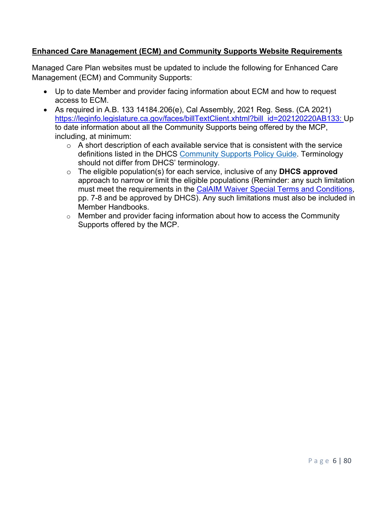#### **Enhanced Care Management (ECM) and Community Supports Website Requirements**

Managed Care Plan websites must be updated to include the following for Enhanced Care Management (ECM) and Community Supports:

- Up to date Member and provider facing information about ECM and how to request access to ECM.
- As required in A.B. 133 14184.206(e), Cal Assembly, 2021 Reg. Sess. (CA 2021) https://leginfo.legislature.ca.gov/faces/billTextClient.xhtml?bill\_id=202120220AB133: Up to date information about all the Community Supports being offered by the MCP, including, at minimum:
	- $\circ$  A short description of each available service that is consistent with the service definitions listed in the DHCS Community Supports Policy Guide. Terminology should not differ from DHCS' terminology.
	- o The eligible population(s) for each service, inclusive of any **DHCS approved** approach to narrow or limit the eligible populations (Reminder: any such limitation must meet the requirements in the CalAIM Waiver Special Terms and Conditions, pp. 7-8 and be approved by DHCS). Any such limitations must also be included in Member Handbooks.
	- o Member and provider facing information about how to access the Community Supports offered by the MCP.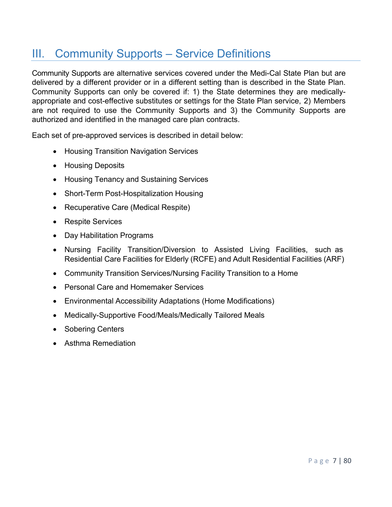# III. Community Supports – Service Definitions

Community Supports are alternative services covered under the Medi-Cal State Plan but are delivered by a different provider or in a different setting than is described in the State Plan. Community Supports can only be covered if: 1) the State determines they are medicallyappropriate and cost-effective substitutes or settings for the State Plan service, 2) Members are not required to use the Community Supports and 3) the Community Supports are authorized and identified in the managed care plan contracts.

Each set of pre-approved services is described in detail below:

- Housing Transition Navigation Services
- Housing Deposits
- Housing Tenancy and Sustaining Services
- Short-Term Post-Hospitalization Housing
- Recuperative Care (Medical Respite)
- Respite Services
- Day Habilitation Programs
- Nursing Facility Transition/Diversion to Assisted Living Facilities, such as Residential Care Facilities for Elderly (RCFE) and Adult Residential Facilities (ARF)
- Community Transition Services/Nursing Facility Transition to a Home
- Personal Care and Homemaker Services
- Environmental Accessibility Adaptations (Home Modifications)
- Medically-Supportive Food/Meals/Medically Tailored Meals
- Sobering Centers
- Asthma Remediation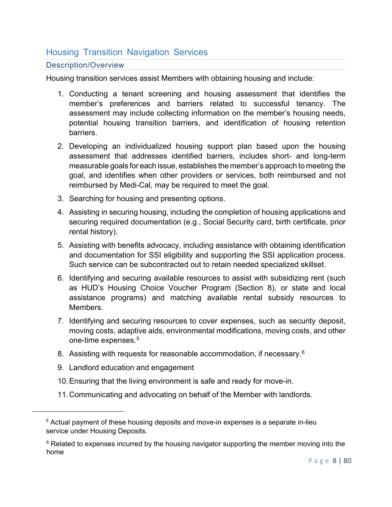### Housing Transition Navigation Services

#### Description/Overview

Housing transition services assist Members with obtaining housing and include:

- 1. Conducting a tenant screening and housing assessment that identifies the member's preferences and barriers related to successful tenancy. The assessment may include collecting information on the member's housing needs, potential housing transition barriers, and identification of housing retention barriers.
- 2. Developing an individualized housing support plan based upon the housing assessment that addresses identified barriers, includes short- and long-term measurable goals for each issue, establishes the member's approach to meeting the goal, and identifies when other providers or services, both reimbursed and not reimbursed by Medi-Cal, may be required to meet the goal.
- 3. Searching for housing and presenting options.
- 4. Assisting in securing housing, including the completion of housing applications and securing required documentation (e.g., Social Security card, birth certificate, prior rental history).
- 5. Assisting with benefits advocacy, including assistance with obtaining identification and documentation for SSI eligibility and supporting the SSI application process. Such service can be subcontracted out to retain needed specialized skillset.
- 6. Identifying and securing available resources to assist with subsidizing rent (such as HUD's Housing Choice Voucher Program (Section 8), or state and local assistance programs) and matching available rental subsidy resources to Members.
- 7. Identifying and securing resources to cover expenses, such as security deposit, moving costs, adaptive aids, environmental modifications, moving costs, and other one-time expenses. 5
- 8.  $\,$  Assisting with requests for reasonable accommodation, if necessary. $^6$
- 9. Landlord education and engagement
- 10.Ensuring that the living environment is safe and ready for move-in.
- 11.Communicating and advocating on behalf of the Member with landlords.

<sup>5</sup> Actual payment of these housing deposits and move-in expenses is a separate in-lieu service under Housing Deposits.

<sup>&</sup>lt;sup>6</sup> Related to expenses incurred by the housing navigator supporting the member moving into the home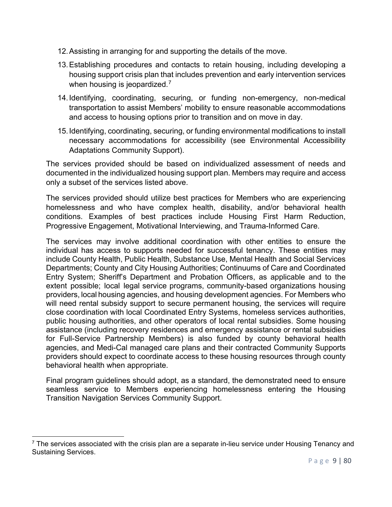- 12.Assisting in arranging for and supporting the details of the move.
- 13.Establishing procedures and contacts to retain housing, including developing a housing support crisis plan that includes prevention and early intervention services when housing is jeopardized.<sup>7</sup>
- 14.Identifying, coordinating, securing, or funding non-emergency, non-medical transportation to assist Members' mobility to ensure reasonable accommodations and access to housing options prior to transition and on move in day.
- 15.Identifying, coordinating, securing, or funding environmental modifications to install necessary accommodations for accessibility (see Environmental Accessibility Adaptations Community Support).

The services provided should be based on individualized assessment of needs and documented in the individualized housing support plan. Members may require and access only a subset of the services listed above.

The services provided should utilize best practices for Members who are experiencing homelessness and who have complex health, disability, and/or behavioral health conditions. Examples of best practices include Housing First Harm Reduction, Progressive Engagement, Motivational Interviewing, and Trauma-Informed Care.

The services may involve additional coordination with other entities to ensure the individual has access to supports needed for successful tenancy. These entities may include County Health, Public Health, Substance Use, Mental Health and Social Services Departments; County and City Housing Authorities; Continuums of Care and Coordinated Entry System; Sheriff's Department and Probation Officers, as applicable and to the extent possible; local legal service programs, community-based organizations housing providers, local housing agencies, and housing development agencies. For Members who will need rental subsidy support to secure permanent housing, the services will require close coordination with local Coordinated Entry Systems, homeless services authorities, public housing authorities, and other operators of local rental subsidies. Some housing assistance (including recovery residences and emergency assistance or rental subsidies for Full-Service Partnership Members) is also funded by county behavioral health agencies, and Medi-Cal managed care plans and their contracted Community Supports providers should expect to coordinate access to these housing resources through county behavioral health when appropriate.

Final program guidelines should adopt, as a standard, the demonstrated need to ensure seamless service to Members experiencing homelessness entering the Housing Transition Navigation Services Community Support.

 $7$  The services associated with the crisis plan are a separate in-lieu service under Housing Tenancy and Sustaining Services.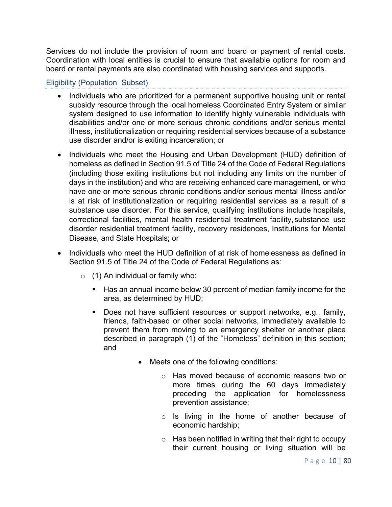Services do not include the provision of room and board or payment of rental costs. Coordination with local entities is crucial to ensure that available options for room and board or rental payments are also coordinated with housing services and supports.

#### Eligibility (Population Subset)

- Individuals who are prioritized for a permanent supportive housing unit or rental subsidy resource through the local homeless Coordinated Entry System or similar system designed to use information to identify highly vulnerable individuals with disabilities and/or one or more serious chronic conditions and/or serious mental illness, institutionalization or requiring residential services because of a substance use disorder and/or is exiting incarceration; or
- Individuals who meet the Housing and Urban Development (HUD) definition of homeless as defined in Section 91.5 of Title 24 of the Code of Federal Regulations (including those exiting institutions but not including any limits on the number of days in the institution) and who are receiving enhanced care management, or who have one or more serious chronic conditions and/or serious mental illness and/or is at risk of institutionalization or requiring residential services as a result of a substance use disorder. For this service, qualifying institutions include hospitals, correctional facilities, mental health residential treatment facility,substance use disorder residential treatment facility, recovery residences, Institutions for Mental Disease, and State Hospitals; or
- Individuals who meet the HUD definition of at risk of homelessness as defined in Section 91.5 of Title 24 of the Code of Federal Regulations as:
	- $\circ$  (1) An individual or family who:
		- Has an annual income below 30 percent of median family income for the area, as determined by HUD;
		- Does not have sufficient resources or support networks, e.g., family, friends, faith-based or other social networks, immediately available to prevent them from moving to an emergency shelter or another place described in paragraph (1) of the "Homeless" definition in this section; and
			- Meets one of the following conditions:
				- o Has moved because of economic reasons two or more times during the 60 days immediately preceding the application for homelessness prevention assistance;
				- o Is living in the home of another because of economic hardship;
				- $\circ$  Has been notified in writing that their right to occupy their current housing or living situation will be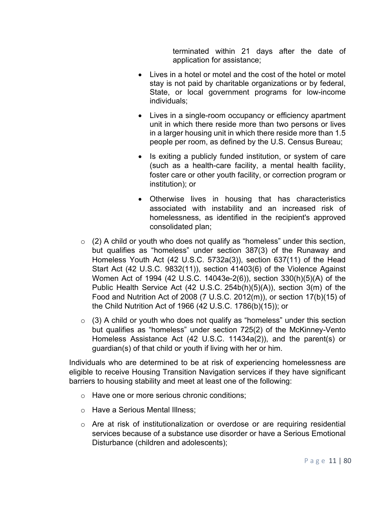terminated within 21 days after the date of application for assistance;

- Lives in a hotel or motel and the cost of the hotel or motel stay is not paid by charitable organizations or by federal, State, or local government programs for low-income individuals;
- Lives in a single-room occupancy or efficiency apartment unit in which there reside more than two persons or lives in a larger housing unit in which there reside more than 1.5 people per room, as defined by the U.S. Census Bureau;
- Is exiting a publicly funded institution, or system of care (such as a health-care facility, a mental health facility, foster care or other youth facility, or correction program or institution); or
- Otherwise lives in housing that has characteristics associated with instability and an increased risk of homelessness, as identified in the recipient's approved consolidated plan;
- $\circ$  (2) A child or youth who does not qualify as "homeless" under this section, but qualifies as "homeless" under section 387(3) of the Runaway and Homeless Youth Act (42 U.S.C. 5732a(3)), section 637(11) of the Head Start Act (42 U.S.C. 9832(11)), section 41403(6) of the Violence Against Women Act of 1994 (42 U.S.C. 14043e-2(6)), section 330(h)(5)(A) of the Public Health Service Act (42 U.S.C. 254b(h)(5)(A)), section 3(m) of the Food and Nutrition Act of 2008 (7 U.S.C. 2012(m)), or section 17(b)(15) of the Child Nutrition Act of 1966 (42 U.S.C. 1786(b)(15)); or
- $\circ$  (3) A child or youth who does not qualify as "homeless" under this section but qualifies as "homeless" under section 725(2) of the McKinney-Vento Homeless Assistance Act (42 U.S.C. 11434a(2)), and the parent(s) or guardian(s) of that child or youth if living with her or him.

Individuals who are determined to be at risk of experiencing homelessness are eligible to receive Housing Transition Navigation services if they have significant barriers to housing stability and meet at least one of the following:

- o Have one or more serious chronic conditions;
- o Have a Serious Mental Illness;
- $\circ$  Are at risk of institutionalization or overdose or are requiring residential services because of a substance use disorder or have a Serious Emotional Disturbance (children and adolescents);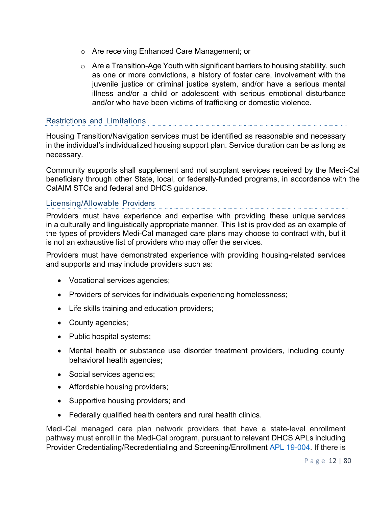- o Are receiving Enhanced Care Management; or
- $\circ$  Are a Transition-Age Youth with significant barriers to housing stability, such as one or more convictions, a history of foster care, involvement with the juvenile justice or criminal justice system, and/or have a serious mental illness and/or a child or adolescent with serious emotional disturbance and/or who have been victims of trafficking or domestic violence.

#### Restrictions and Limitations

Housing Transition/Navigation services must be identified as reasonable and necessary in the individual's individualized housing support plan. Service duration can be as long as necessary.

Community supports shall supplement and not supplant services received by the Medi-Cal beneficiary through other State, local, or federally-funded programs, in accordance with the CalAIM STCs and federal and DHCS guidance.

#### Licensing/Allowable Providers

Providers must have experience and expertise with providing these unique services in a culturally and linguistically appropriate manner. This list is provided as an example of the types of providers Medi-Cal managed care plans may choose to contract with, but it is not an exhaustive list of providers who may offer the services.

Providers must have demonstrated experience with providing housing-related services and supports and may include providers such as:

- Vocational services agencies;
- Providers of services for individuals experiencing homelessness;
- Life skills training and education providers;
- County agencies;
- Public hospital systems;
- Mental health or substance use disorder treatment providers, including county behavioral health agencies;
- Social services agencies;
- Affordable housing providers;
- Supportive housing providers; and
- Federally qualified health centers and rural health clinics.

Medi-Cal managed care plan network providers that have a state-level enrollment pathway must enroll in the Medi-Cal program, pursuant to relevant DHCS APLs including Provider Credentialing/Recredentialing and Screening/Enrollment APL 19-004. If there is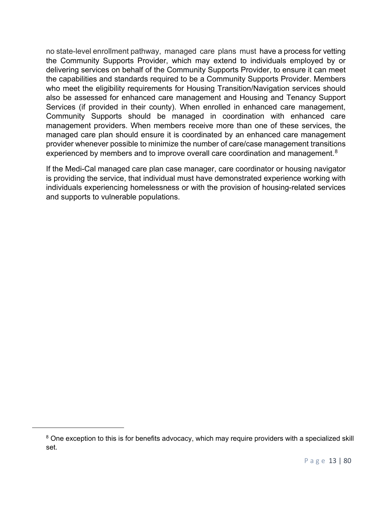no state-level enrollment pathway, managed care plans must have a process for vetting the Community Supports Provider, which may extend to individuals employed by or delivering services on behalf of the Community Supports Provider, to ensure it can meet the capabilities and standards required to be a Community Supports Provider. Members who meet the eligibility requirements for Housing Transition/Navigation services should also be assessed for enhanced care management and Housing and Tenancy Support Services (if provided in their county). When enrolled in enhanced care management, Community Supports should be managed in coordination with enhanced care management providers. When members receive more than one of these services, the managed care plan should ensure it is coordinated by an enhanced care management provider whenever possible to minimize the number of care/case management transitions experienced by members and to improve overall care coordination and management. $^8$ 

If the Medi-Cal managed care plan case manager, care coordinator or housing navigator is providing the service, that individual must have demonstrated experience working with individuals experiencing homelessness or with the provision of housing-related services and supports to vulnerable populations.

<sup>&</sup>lt;sup>8</sup> One exception to this is for benefits advocacy, which may require providers with a specialized skill set.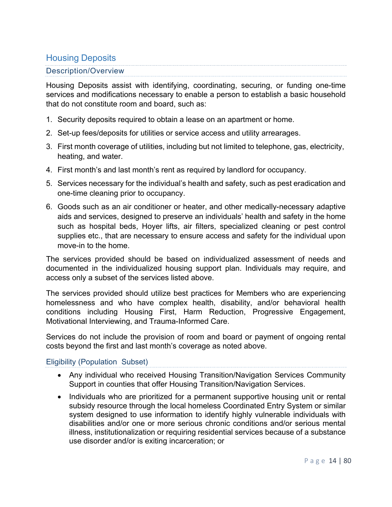### Housing Deposits

#### Description/Overview

Housing Deposits assist with identifying, coordinating, securing, or funding one-time services and modifications necessary to enable a person to establish a basic household that do not constitute room and board, such as:

- 1. Security deposits required to obtain a lease on an apartment or home.
- 2. Set-up fees/deposits for utilities or service access and utility arrearages.
- 3. First month coverage of utilities, including but not limited to telephone, gas, electricity, heating, and water.
- 4. First month's and last month's rent as required by landlord for occupancy.
- 5. Services necessary for the individual's health and safety, such as pest eradication and one-time cleaning prior to occupancy.
- 6. Goods such as an air conditioner or heater, and other medically-necessary adaptive aids and services, designed to preserve an individuals' health and safety in the home such as hospital beds, Hoyer lifts, air filters, specialized cleaning or pest control supplies etc., that are necessary to ensure access and safety for the individual upon move-in to the home.

The services provided should be based on individualized assessment of needs and documented in the individualized housing support plan. Individuals may require, and access only a subset of the services listed above.

The services provided should utilize best practices for Members who are experiencing homelessness and who have complex health, disability, and/or behavioral health conditions including Housing First, Harm Reduction, Progressive Engagement, Motivational Interviewing, and Trauma-Informed Care.

Services do not include the provision of room and board or payment of ongoing rental costs beyond the first and last month's coverage as noted above.

Eligibility (Population Subset)

- Any individual who received Housing Transition/Navigation Services Community Support in counties that offer Housing Transition/Navigation Services.
- Individuals who are prioritized for a permanent supportive housing unit or rental subsidy resource through the local homeless Coordinated Entry System or similar system designed to use information to identify highly vulnerable individuals with disabilities and/or one or more serious chronic conditions and/or serious mental illness, institutionalization or requiring residential services because of a substance use disorder and/or is exiting incarceration; or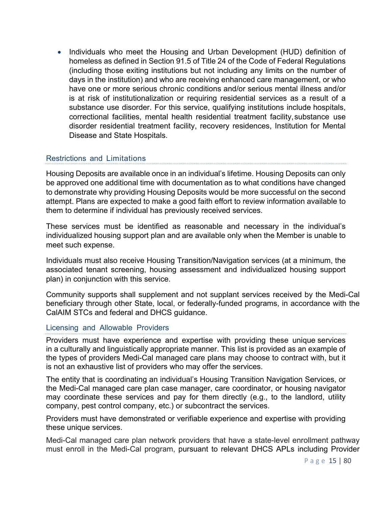• Individuals who meet the Housing and Urban Development (HUD) definition of homeless as defined in Section 91.5 of Title 24 of the Code of Federal Regulations (including those exiting institutions but not including any limits on the number of days in the institution) and who are receiving enhanced care management, or who have one or more serious chronic conditions and/or serious mental illness and/or is at risk of institutionalization or requiring residential services as a result of a substance use disorder. For this service, qualifying institutions include hospitals, correctional facilities, mental health residential treatment facility,substance use disorder residential treatment facility, recovery residences, Institution for Mental Disease and State Hospitals.

#### Restrictions and Limitations

Housing Deposits are available once in an individual's lifetime. Housing Deposits can only be approved one additional time with documentation as to what conditions have changed to demonstrate why providing Housing Deposits would be more successful on the second attempt. Plans are expected to make a good faith effort to review information available to them to determine if individual has previously received services.

These services must be identified as reasonable and necessary in the individual's individualized housing support plan and are available only when the Member is unable to meet such expense.

Individuals must also receive Housing Transition/Navigation services (at a minimum, the associated tenant screening, housing assessment and individualized housing support plan) in conjunction with this service.

Community supports shall supplement and not supplant services received by the Medi-Cal beneficiary through other State, local, or federally-funded programs, in accordance with the CalAIM STCs and federal and DHCS guidance.

#### Licensing and Allowable Providers

Providers must have experience and expertise with providing these unique services in a culturally and linguistically appropriate manner. This list is provided as an example of the types of providers Medi-Cal managed care plans may choose to contract with, but it is not an exhaustive list of providers who may offer the services.

The entity that is coordinating an individual's Housing Transition Navigation Services, or the Medi-Cal managed care plan case manager, care coordinator, or housing navigator may coordinate these services and pay for them directly (e.g., to the landlord, utility company, pest control company, etc.) or subcontract the services.

Providers must have demonstrated or verifiable experience and expertise with providing these unique services.

Medi-Cal managed care plan network providers that have a state-level enrollment pathway must enroll in the Medi-Cal program, pursuant to relevant DHCS APLs including Provider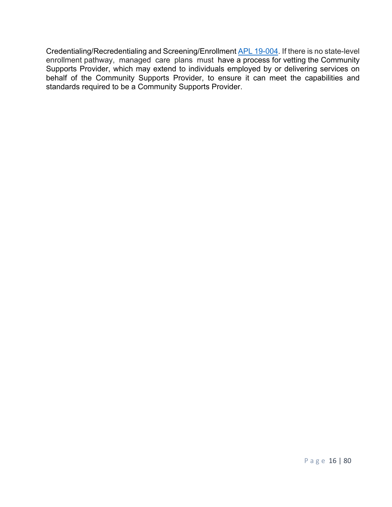Credentialing/Recredentialing and Screening/Enrollment APL 19-004. If there is no state-level enrollment pathway, managed care plans must have a process for vetting the Community Supports Provider, which may extend to individuals employed by or delivering services on behalf of the Community Supports Provider, to ensure it can meet the capabilities and standards required to be a Community Supports Provider.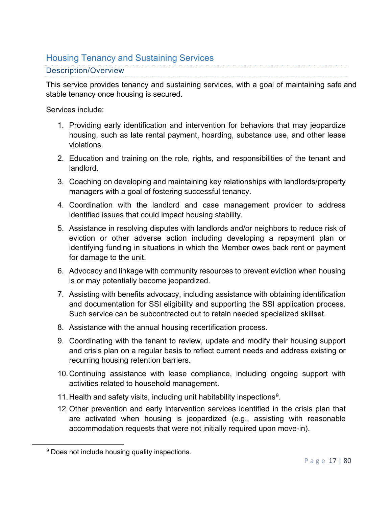## Housing Tenancy and Sustaining Services

#### Description/Overview

This service provides tenancy and sustaining services, with a goal of maintaining safe and stable tenancy once housing is secured.

Services include:

- 1. Providing early identification and intervention for behaviors that may jeopardize housing, such as late rental payment, hoarding, substance use, and other lease violations.
- 2. Education and training on the role, rights, and responsibilities of the tenant and landlord.
- 3. Coaching on developing and maintaining key relationships with landlords/property managers with a goal of fostering successful tenancy.
- 4. Coordination with the landlord and case management provider to address identified issues that could impact housing stability.
- 5. Assistance in resolving disputes with landlords and/or neighbors to reduce risk of eviction or other adverse action including developing a repayment plan or identifying funding in situations in which the Member owes back rent or payment for damage to the unit.
- 6. Advocacy and linkage with community resources to prevent eviction when housing is or may potentially become jeopardized.
- 7. Assisting with benefits advocacy, including assistance with obtaining identification and documentation for SSI eligibility and supporting the SSI application process. Such service can be subcontracted out to retain needed specialized skillset.
- 8. Assistance with the annual housing recertification process.
- 9. Coordinating with the tenant to review, update and modify their housing support and crisis plan on a regular basis to reflect current needs and address existing or recurring housing retention barriers.
- 10.Continuing assistance with lease compliance, including ongoing support with activities related to household management.
- 11. Health and safety visits, including unit habitability inspections<sup>9</sup>.
- 12.Other prevention and early intervention services identified in the crisis plan that are activated when housing is jeopardized (e.g., assisting with reasonable accommodation requests that were not initially required upon move-in).

<sup>&</sup>lt;sup>9</sup> Does not include housing quality inspections.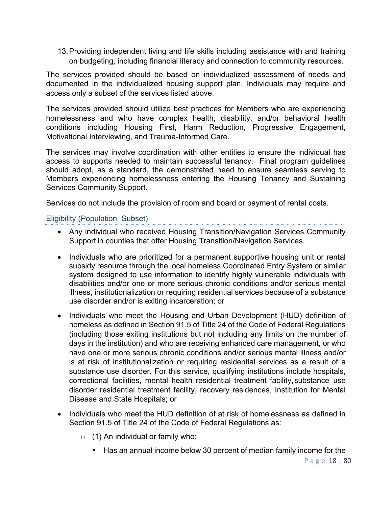13.Providing independent living and life skills including assistance with and training on budgeting, including financial literacy and connection to community resources.

The services provided should be based on individualized assessment of needs and documented in the individualized housing support plan. Individuals may require and access only a subset of the services listed above.

The services provided should utilize best practices for Members who are experiencing homelessness and who have complex health, disability, and/or behavioral health conditions including Housing First, Harm Reduction, Progressive Engagement, Motivational Interviewing, and Trauma-Informed Care.

The services may involve coordination with other entities to ensure the individual has access to supports needed to maintain successful tenancy. Final program guidelines should adopt, as a standard, the demonstrated need to ensure seamless serving to Members experiencing homelessness entering the Housing Tenancy and Sustaining Services Community Support.

Services do not include the provision of room and board or payment of rental costs.

Eligibility (Population Subset)

- Any individual who received Housing Transition/Navigation Services Community Support in counties that offer Housing Transition/Navigation Services.
- Individuals who are prioritized for a permanent supportive housing unit or rental subsidy resource through the local homeless Coordinated Entry System or similar system designed to use information to identify highly vulnerable individuals with disabilities and/or one or more serious chronic conditions and/or serious mental illness, institutionalization or requiring residential services because of a substance use disorder and/or is exiting incarceration; or
- Individuals who meet the Housing and Urban Development (HUD) definition of homeless as defined in Section 91.5 of Title 24 of the Code of Federal Regulations (including those exiting institutions but not including any limits on the number of days in the institution) and who are receiving enhanced care management, or who have one or more serious chronic conditions and/or serious mental illness and/or is at risk of institutionalization or requiring residential services as a result of a substance use disorder. For this service, qualifying institutions include hospitals, correctional facilities, mental health residential treatment facility,substance use disorder residential treatment facility, recovery residences, Institution for Mental Disease and State Hospitals; or
- Individuals who meet the HUD definition of at risk of homelessness as defined in Section 91.5 of Title 24 of the Code of Federal Regulations as:
	- $\circ$  (1) An individual or family who:
		- Has an annual income below 30 percent of median family income for the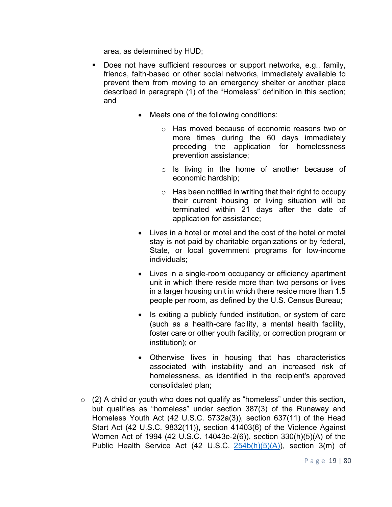area, as determined by HUD;

- Does not have sufficient resources or support networks, e.g., family, friends, faith-based or other social networks, immediately available to prevent them from moving to an emergency shelter or another place described in paragraph (1) of the "Homeless" definition in this section; and
	- Meets one of the following conditions:
		- o Has moved because of economic reasons two or more times during the 60 days immediately preceding the application for homelessness prevention assistance;
		- o Is living in the home of another because of economic hardship;
		- o Has been notified in writing that their right to occupy their current housing or living situation will be terminated within 21 days after the date of application for assistance;
	- Lives in a hotel or motel and the cost of the hotel or motel stay is not paid by charitable organizations or by federal, State, or local government programs for low-income individuals;
	- Lives in a single-room occupancy or efficiency apartment unit in which there reside more than two persons or lives in a larger housing unit in which there reside more than 1.5 people per room, as defined by the U.S. Census Bureau;
	- Is exiting a publicly funded institution, or system of care (such as a health-care facility, a mental health facility, foster care or other youth facility, or correction program or institution); or
	- Otherwise lives in housing that has characteristics associated with instability and an increased risk of homelessness, as identified in the recipient's approved consolidated plan;
- $\circ$  (2) A child or youth who does not qualify as "homeless" under this section, but qualifies as "homeless" under section 387(3) of the Runaway and Homeless Youth Act (42 U.S.C. 5732a(3)), section 637(11) of the Head Start Act (42 U.S.C. 9832(11)), section 41403(6) of the Violence Against Women Act of 1994 (42 U.S.C. 14043e-2(6)), section 330(h)(5)(A) of the Public Health Service Act (42 U.S.C. 254b(h)(5)(A)), section 3(m) of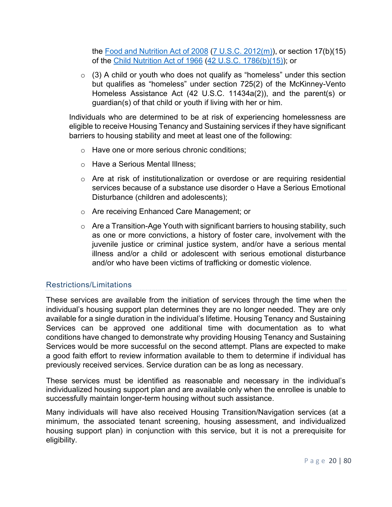the Food and Nutrition Act of 2008 (7 U.S.C. 2012(m)), or section 17(b)(15) of the Child Nutrition Act of 1966 (42 U.S.C. 1786(b)(15)); or

 $\circ$  (3) A child or youth who does not qualify as "homeless" under this section but qualifies as "homeless" under section 725(2) of the McKinney-Vento Homeless Assistance Act (42 U.S.C. 11434a(2)), and the parent(s) or guardian(s) of that child or youth if living with her or him.

Individuals who are determined to be at risk of experiencing homelessness are eligible to receive Housing Tenancy and Sustaining services if they have significant barriers to housing stability and meet at least one of the following:

- o Have one or more serious chronic conditions;
- o Have a Serious Mental Illness;
- o Are at risk of institutionalization or overdose or are requiring residential services because of a substance use disorder o Have a Serious Emotional Disturbance (children and adolescents);
- o Are receiving Enhanced Care Management; or
- $\circ$  Are a Transition-Age Youth with significant barriers to housing stability, such as one or more convictions, a history of foster care, involvement with the juvenile justice or criminal justice system, and/or have a serious mental illness and/or a child or adolescent with serious emotional disturbance and/or who have been victims of trafficking or domestic violence.

#### Restrictions/Limitations

These services are available from the initiation of services through the time when the individual's housing support plan determines they are no longer needed. They are only available for a single duration in the individual's lifetime. Housing Tenancy and Sustaining Services can be approved one additional time with documentation as to what conditions have changed to demonstrate why providing Housing Tenancy and Sustaining Services would be more successful on the second attempt. Plans are expected to make a good faith effort to review information available to them to determine if individual has previously received services. Service duration can be as long as necessary.

These services must be identified as reasonable and necessary in the individual's individualized housing support plan and are available only when the enrollee is unable to successfully maintain longer-term housing without such assistance.

Many individuals will have also received Housing Transition/Navigation services (at a minimum, the associated tenant screening, housing assessment, and individualized housing support plan) in conjunction with this service, but it is not a prerequisite for eligibility.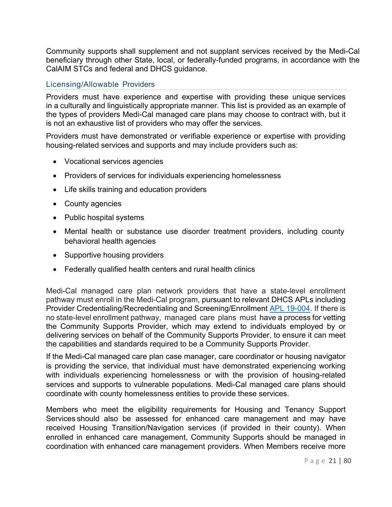Community supports shall supplement and not supplant services received by the Medi-Cal beneficiary through other State, local, or federally-funded programs, in accordance with the CalAIM STCs and federal and DHCS guidance.

#### Licensing/Allowable Providers

Providers must have experience and expertise with providing these unique services in a culturally and linguistically appropriate manner. This list is provided as an example of the types of providers Medi-Cal managed care plans may choose to contract with, but it is not an exhaustive list of providers who may offer the services.

Providers must have demonstrated or verifiable experience or expertise with providing housing-related services and supports and may include providers such as:

- Vocational services agencies
- Providers of services for individuals experiencing homelessness
- Life skills training and education providers
- County agencies
- Public hospital systems
- Mental health or substance use disorder treatment providers, including county behavioral health agencies
- Supportive housing providers
- Federally qualified health centers and rural health clinics

Medi-Cal managed care plan network providers that have a state-level enrollment pathway must enroll in the Medi-Cal program, pursuant to relevant DHCS APLs including Provider Credentialing/Recredentialing and Screening/Enrollment APL 19-004. If there is no state-level enrollment pathway, managed care plans must have a process for vetting the Community Supports Provider, which may extend to individuals employed by or delivering services on behalf of the Community Supports Provider, to ensure it can meet the capabilities and standards required to be a Community Supports Provider.

If the Medi-Cal managed care plan case manager, care coordinator or housing navigator is providing the service, that individual must have demonstrated experiencing working with individuals experiencing homelessness or with the provision of housing-related services and supports to vulnerable populations. Medi-Cal managed care plans should coordinate with county homelessness entities to provide these services.

Members who meet the eligibility requirements for Housing and Tenancy Support Services should also be assessed for enhanced care management and may have received Housing Transition/Navigation services (if provided in their county). When enrolled in enhanced care management, Community Supports should be managed in coordination with enhanced care management providers. When Members receive more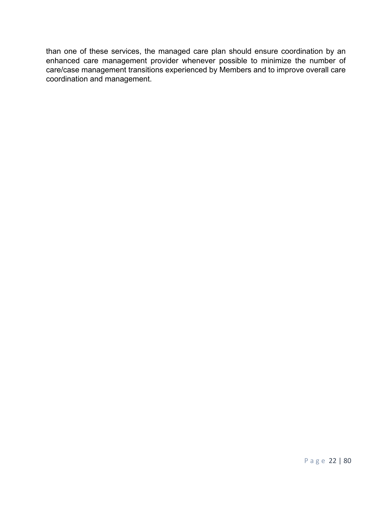than one of these services, the managed care plan should ensure coordination by an enhanced care management provider whenever possible to minimize the number of care/case management transitions experienced by Members and to improve overall care coordination and management.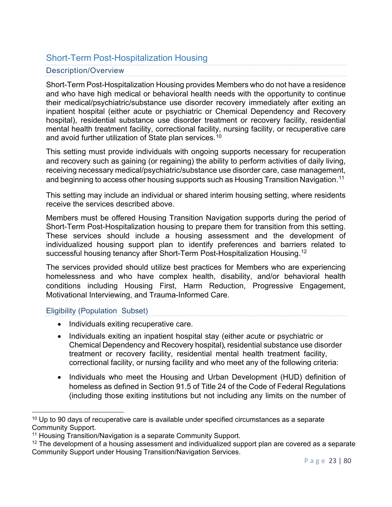### Short-Term Post-Hospitalization Housing

#### Description/Overview

Short-Term Post-Hospitalization Housing provides Members who do not have a residence and who have high medical or behavioral health needs with the opportunity to continue their medical/psychiatric/substance use disorder recovery immediately after exiting an inpatient hospital (either acute or psychiatric or Chemical Dependency and Recovery hospital), residential substance use disorder treatment or recovery facility, residential mental health treatment facility, correctional facility, nursing facility, or recuperative care and avoid further utilization of State plan services. $^{\rm 10}$ 

This setting must provide individuals with ongoing supports necessary for recuperation and recovery such as gaining (or regaining) the ability to perform activities of daily living, receiving necessary medical/psychiatric/substance use disorder care, case management, and beginning to access other housing supports such as Housing Transition Navigation.<sup>11</sup>

This setting may include an individual or shared interim housing setting, where residents receive the services described above.

Members must be offered Housing Transition Navigation supports during the period of Short-Term Post-Hospitalization housing to prepare them for transition from this setting. These services should include a housing assessment and the development of individualized housing support plan to identify preferences and barriers related to successful housing tenancy after Short-Term Post-Hospitalization Housing.<sup>12</sup>

The services provided should utilize best practices for Members who are experiencing homelessness and who have complex health, disability, and/or behavioral health conditions including Housing First, Harm Reduction, Progressive Engagement, Motivational Interviewing, and Trauma-Informed Care.

Eligibility (Population Subset)

- Individuals exiting recuperative care.
- Individuals exiting an inpatient hospital stay (either acute or psychiatric or Chemical Dependency and Recovery hospital), residential substance use disorder treatment or recovery facility, residential mental health treatment facility, correctional facility, or nursing facility and who meet any of the following criteria:
- Individuals who meet the Housing and Urban Development (HUD) definition of homeless as defined in Section 91.5 of Title 24 of the Code of Federal Regulations (including those exiting institutions but not including any limits on the number of

 $10$  Up to 90 days of recuperative care is available under specified circumstances as a separate Community Support.

<sup>11</sup> Housing Transition/Navigation is a separate Community Support.

<sup>&</sup>lt;sup>12</sup> The development of a housing assessment and individualized support plan are covered as a separate Community Support under Housing Transition/Navigation Services.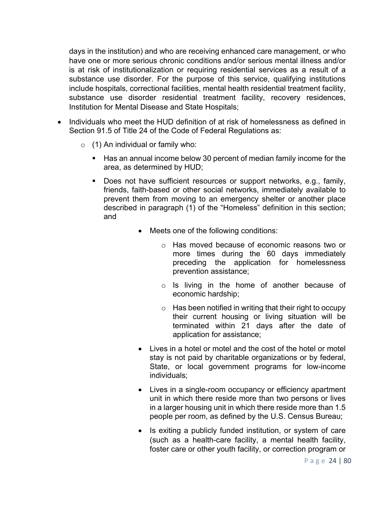days in the institution) and who are receiving enhanced care management, or who have one or more serious chronic conditions and/or serious mental illness and/or is at risk of institutionalization or requiring residential services as a result of a substance use disorder. For the purpose of this service, qualifying institutions include hospitals, correctional facilities, mental health residential treatment facility, substance use disorder residential treatment facility, recovery residences, Institution for Mental Disease and State Hospitals;

- Individuals who meet the HUD definition of at risk of homelessness as defined in Section 91.5 of Title 24 of the Code of Federal Regulations as:
	- $\circ$  (1) An individual or family who:
		- Has an annual income below 30 percent of median family income for the area, as determined by HUD;
		- Does not have sufficient resources or support networks, e.g., family, friends, faith-based or other social networks, immediately available to prevent them from moving to an emergency shelter or another place described in paragraph (1) of the "Homeless" definition in this section; and
			- Meets one of the following conditions:
				- o Has moved because of economic reasons two or more times during the 60 days immediately preceding the application for homelessness prevention assistance;
				- o Is living in the home of another because of economic hardship;
				- $\circ$  Has been notified in writing that their right to occupy their current housing or living situation will be terminated within 21 days after the date of application for assistance;
			- Lives in a hotel or motel and the cost of the hotel or motel stay is not paid by charitable organizations or by federal, State, or local government programs for low-income individuals;
			- Lives in a single-room occupancy or efficiency apartment unit in which there reside more than two persons or lives in a larger housing unit in which there reside more than 1.5 people per room, as defined by the U.S. Census Bureau;
			- Is exiting a publicly funded institution, or system of care (such as a health-care facility, a mental health facility, foster care or other youth facility, or correction program or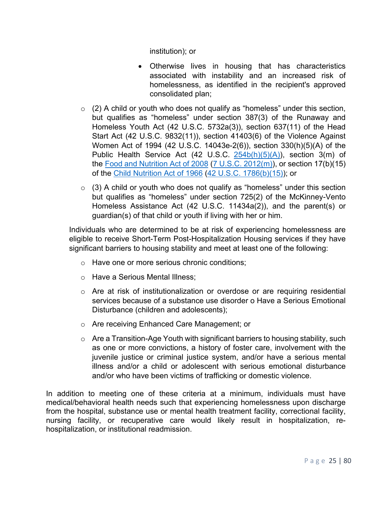institution); or

- Otherwise lives in housing that has characteristics associated with instability and an increased risk of homelessness, as identified in the recipient's approved consolidated plan;
- $\circ$  (2) A child or youth who does not qualify as "homeless" under this section, but qualifies as "homeless" under section 387(3) of the Runaway and Homeless Youth Act (42 U.S.C. 5732a(3)), section 637(11) of the Head Start Act (42 U.S.C. 9832(11)), section 41403(6) of the Violence Against Women Act of 1994 (42 U.S.C. 14043e-2(6)), section 330(h)(5)(A) of the Public Health Service Act (42 U.S.C.  $254b(h)(5)(A)$ ), section 3(m) of the Food and Nutrition Act of 2008 (7 U.S.C. 2012(m)), or section 17(b)(15) of the Child Nutrition Act of 1966 (42 U.S.C. 1786(b)(15)); or
- $\circ$  (3) A child or youth who does not qualify as "homeless" under this section but qualifies as "homeless" under section 725(2) of the McKinney-Vento Homeless Assistance Act (42 U.S.C. 11434a(2)), and the parent(s) or guardian(s) of that child or youth if living with her or him.

Individuals who are determined to be at risk of experiencing homelessness are eligible to receive Short-Term Post-Hospitalization Housing services if they have significant barriers to housing stability and meet at least one of the following:

- o Have one or more serious chronic conditions;
- o Have a Serious Mental Illness;
- $\circ$  Are at risk of institutionalization or overdose or are requiring residential services because of a substance use disorder o Have a Serious Emotional Disturbance (children and adolescents);
- o Are receiving Enhanced Care Management; or
- $\circ$  Are a Transition-Age Youth with significant barriers to housing stability, such as one or more convictions, a history of foster care, involvement with the juvenile justice or criminal justice system, and/or have a serious mental illness and/or a child or adolescent with serious emotional disturbance and/or who have been victims of trafficking or domestic violence.

In addition to meeting one of these criteria at a minimum, individuals must have medical/behavioral health needs such that experiencing homelessness upon discharge from the hospital, substance use or mental health treatment facility, correctional facility, nursing facility, or recuperative care would likely result in hospitalization, rehospitalization, or institutional readmission.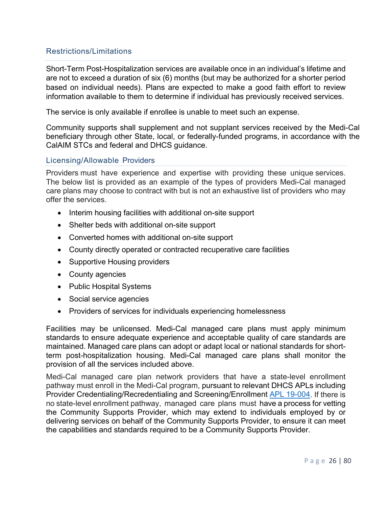#### Restrictions/Limitations

Short-Term Post-Hospitalization services are available once in an individual's lifetime and are not to exceed a duration of six (6) months (but may be authorized for a shorter period based on individual needs). Plans are expected to make a good faith effort to review information available to them to determine if individual has previously received services.

The service is only available if enrollee is unable to meet such an expense.

Community supports shall supplement and not supplant services received by the Medi-Cal beneficiary through other State, local, or federally-funded programs, in accordance with the CalAIM STCs and federal and DHCS guidance.

#### Licensing/Allowable Providers

Providers must have experience and expertise with providing these unique services. The below list is provided as an example of the types of providers Medi-Cal managed care plans may choose to contract with but is not an exhaustive list of providers who may offer the services.

- Interim housing facilities with additional on-site support
- Shelter beds with additional on-site support
- Converted homes with additional on-site support
- County directly operated or contracted recuperative care facilities
- Supportive Housing providers
- County agencies
- Public Hospital Systems
- Social service agencies
- Providers of services for individuals experiencing homelessness

Facilities may be unlicensed. Medi-Cal managed care plans must apply minimum standards to ensure adequate experience and acceptable quality of care standards are maintained. Managed care plans can adopt or adapt local or national standards for shortterm post-hospitalization housing. Medi-Cal managed care plans shall monitor the provision of all the services included above.

Medi-Cal managed care plan network providers that have a state-level enrollment pathway must enroll in the Medi-Cal program, pursuant to relevant DHCS APLs including Provider Credentialing/Recredentialing and Screening/Enrollment APL 19-004. If there is no state-level enrollment pathway, managed care plans must have a process for vetting the Community Supports Provider, which may extend to individuals employed by or delivering services on behalf of the Community Supports Provider, to ensure it can meet the capabilities and standards required to be a Community Supports Provider.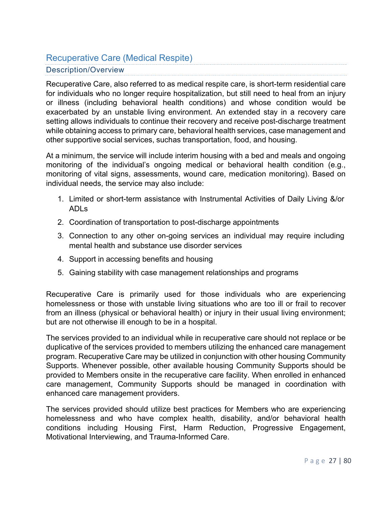# Recuperative Care (Medical Respite)

#### Description/Overview

Recuperative Care, also referred to as medical respite care, is short-term residential care for individuals who no longer require hospitalization, but still need to heal from an injury or illness (including behavioral health conditions) and whose condition would be exacerbated by an unstable living environment. An extended stay in a recovery care setting allows individuals to continue their recovery and receive post-discharge treatment while obtaining access to primary care, behavioral health services, case management and other supportive social services, suchas transportation, food, and housing.

At a minimum, the service will include interim housing with a bed and meals and ongoing monitoring of the individual's ongoing medical or behavioral health condition (e.g., monitoring of vital signs, assessments, wound care, medication monitoring). Based on individual needs, the service may also include:

- 1. Limited or short-term assistance with Instrumental Activities of Daily Living &/or ADLs
- 2. Coordination of transportation to post-discharge appointments
- 3. Connection to any other on-going services an individual may require including mental health and substance use disorder services
- 4. Support in accessing benefits and housing
- 5. Gaining stability with case management relationships and programs

Recuperative Care is primarily used for those individuals who are experiencing homelessness or those with unstable living situations who are too ill or frail to recover from an illness (physical or behavioral health) or injury in their usual living environment; but are not otherwise ill enough to be in a hospital.

The services provided to an individual while in recuperative care should not replace or be duplicative of the services provided to members utilizing the enhanced care management program. Recuperative Care may be utilized in conjunction with other housing Community Supports. Whenever possible, other available housing Community Supports should be provided to Members onsite in the recuperative care facility. When enrolled in enhanced care management, Community Supports should be managed in coordination with enhanced care management providers.

The services provided should utilize best practices for Members who are experiencing homelessness and who have complex health, disability, and/or behavioral health conditions including Housing First, Harm Reduction, Progressive Engagement, Motivational Interviewing, and Trauma-Informed Care.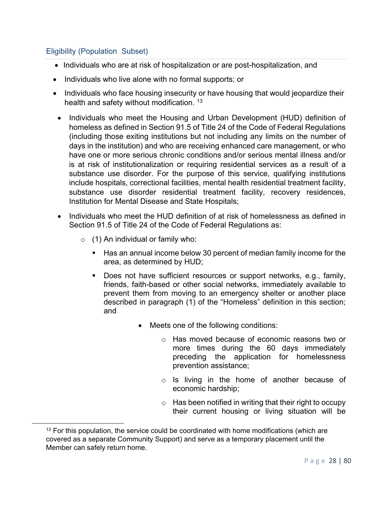#### Eligibility (Population Subset)

- Individuals who are at risk of hospitalization or are post-hospitalization, and
- Individuals who live alone with no formal supports; or
- Individuals who face housing insecurity or have housing that would jeopardize their health and safety without modification.<sup>13</sup>
	- Individuals who meet the Housing and Urban Development (HUD) definition of homeless as defined in Section 91.5 of Title 24 of the Code of Federal Regulations (including those exiting institutions but not including any limits on the number of days in the institution) and who are receiving enhanced care management, or who have one or more serious chronic conditions and/or serious mental illness and/or is at risk of institutionalization or requiring residential services as a result of a substance use disorder. For the purpose of this service, qualifying institutions include hospitals, correctional facilities, mental health residential treatment facility, substance use disorder residential treatment facility, recovery residences, Institution for Mental Disease and State Hospitals;
	- Individuals who meet the HUD definition of at risk of homelessness as defined in Section 91.5 of Title 24 of the Code of Federal Regulations as:
		- $\circ$  (1) An individual or family who:
			- Has an annual income below 30 percent of median family income for the area, as determined by HUD;
			- Does not have sufficient resources or support networks, e.g., family, friends, faith-based or other social networks, immediately available to prevent them from moving to an emergency shelter or another place described in paragraph (1) of the "Homeless" definition in this section; and
				- Meets one of the following conditions:
					- o Has moved because of economic reasons two or more times during the 60 days immediately preceding the application for homelessness prevention assistance;
					- o Is living in the home of another because of economic hardship;
					- $\circ$  Has been notified in writing that their right to occupy their current housing or living situation will be

 $13$  For this population, the service could be coordinated with home modifications (which are covered as a separate Community Support) and serve as a temporary placement until the Member can safely return home.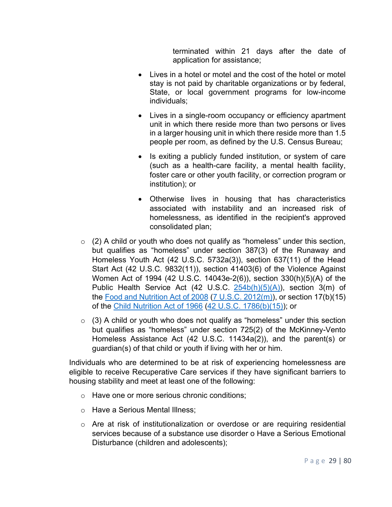terminated within 21 days after the date of application for assistance;

- Lives in a hotel or motel and the cost of the hotel or motel stay is not paid by charitable organizations or by federal, State, or local government programs for low-income individuals;
- Lives in a single-room occupancy or efficiency apartment unit in which there reside more than two persons or lives in a larger housing unit in which there reside more than 1.5 people per room, as defined by the U.S. Census Bureau;
- Is exiting a publicly funded institution, or system of care (such as a health-care facility, a mental health facility, foster care or other youth facility, or correction program or institution); or
- Otherwise lives in housing that has characteristics associated with instability and an increased risk of homelessness, as identified in the recipient's approved consolidated plan;
- $\circ$  (2) A child or youth who does not qualify as "homeless" under this section, but qualifies as "homeless" under section 387(3) of the Runaway and Homeless Youth Act (42 U.S.C. 5732a(3)), section 637(11) of the Head Start Act (42 U.S.C. 9832(11)), section 41403(6) of the Violence Against Women Act of 1994 (42 U.S.C. 14043e-2(6)), section 330(h)(5)(A) of the Public Health Service Act (42 U.S.C. 254b(h)(5)(A)), section 3(m) of the Food and Nutrition Act of 2008 (7 U.S.C. 2012(m)), or section 17(b)(15) of the Child Nutrition Act of 1966 (42 U.S.C. 1786(b)(15)); or
- $\circ$  (3) A child or youth who does not qualify as "homeless" under this section but qualifies as "homeless" under section 725(2) of the McKinney-Vento Homeless Assistance Act (42 U.S.C. 11434a(2)), and the parent(s) or guardian(s) of that child or youth if living with her or him.

Individuals who are determined to be at risk of experiencing homelessness are eligible to receive Recuperative Care services if they have significant barriers to housing stability and meet at least one of the following:

- o Have one or more serious chronic conditions;
- o Have a Serious Mental Illness;
- $\circ$  Are at risk of institutionalization or overdose or are requiring residential services because of a substance use disorder o Have a Serious Emotional Disturbance (children and adolescents);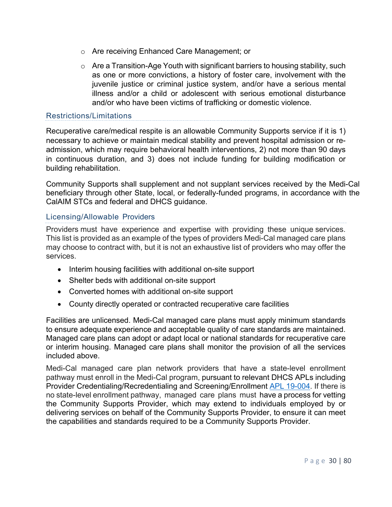- o Are receiving Enhanced Care Management; or
- $\circ$  Are a Transition-Age Youth with significant barriers to housing stability, such as one or more convictions, a history of foster care, involvement with the juvenile justice or criminal justice system, and/or have a serious mental illness and/or a child or adolescent with serious emotional disturbance and/or who have been victims of trafficking or domestic violence.

#### Restrictions/Limitations

Recuperative care/medical respite is an allowable Community Supports service if it is 1) necessary to achieve or maintain medical stability and prevent hospital admission or readmission, which may require behavioral health interventions, 2) not more than 90 days in continuous duration, and 3) does not include funding for building modification or building rehabilitation.

Community Supports shall supplement and not supplant services received by the Medi-Cal beneficiary through other State, local, or federally-funded programs, in accordance with the CalAIM STCs and federal and DHCS guidance.

#### Licensing/Allowable Providers

Providers must have experience and expertise with providing these unique services. This list is provided as an example of the types of providers Medi-Cal managed care plans may choose to contract with, but it is not an exhaustive list of providers who may offer the services.

- Interim housing facilities with additional on-site support
- Shelter beds with additional on-site support
- Converted homes with additional on-site support
- County directly operated or contracted recuperative care facilities

Facilities are unlicensed. Medi-Cal managed care plans must apply minimum standards to ensure adequate experience and acceptable quality of care standards are maintained. Managed care plans can adopt or adapt local or national standards for recuperative care or interim housing. Managed care plans shall monitor the provision of all the services included above.

Medi-Cal managed care plan network providers that have a state-level enrollment pathway must enroll in the Medi-Cal program, pursuant to relevant DHCS APLs including Provider Credentialing/Recredentialing and Screening/Enrollment APL 19-004. If there is no state-level enrollment pathway, managed care plans must have a process for vetting the Community Supports Provider, which may extend to individuals employed by or delivering services on behalf of the Community Supports Provider, to ensure it can meet the capabilities and standards required to be a Community Supports Provider.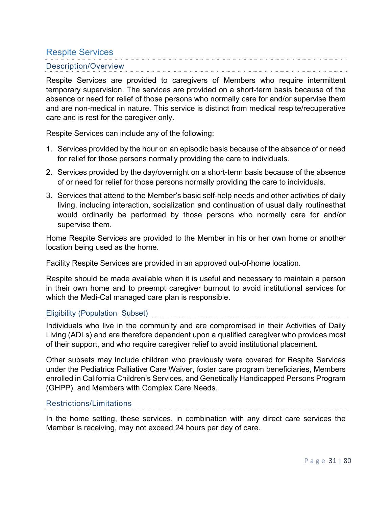### Respite Services

#### Description/Overview

Respite Services are provided to caregivers of Members who require intermittent temporary supervision. The services are provided on a short-term basis because of the absence or need for relief of those persons who normally care for and/or supervise them and are non-medical in nature. This service is distinct from medical respite/recuperative care and is rest for the caregiver only.

Respite Services can include any of the following:

- 1. Services provided by the hour on an episodic basis because of the absence of or need for relief for those persons normally providing the care to individuals.
- 2. Services provided by the day/overnight on a short-term basis because of the absence of or need for relief for those persons normally providing the care to individuals.
- 3. Services that attend to the Member's basic self-help needs and other activities of daily living, including interaction, socialization and continuation of usual daily routinesthat would ordinarily be performed by those persons who normally care for and/or supervise them.

Home Respite Services are provided to the Member in his or her own home or another location being used as the home.

Facility Respite Services are provided in an approved out-of-home location.

Respite should be made available when it is useful and necessary to maintain a person in their own home and to preempt caregiver burnout to avoid institutional services for which the Medi-Cal managed care plan is responsible.

#### Eligibility (Population Subset)

Individuals who live in the community and are compromised in their Activities of Daily Living (ADLs) and are therefore dependent upon a qualified caregiver who provides most of their support, and who require caregiver relief to avoid institutional placement.

Other subsets may include children who previously were covered for Respite Services under the Pediatrics Palliative Care Waiver, foster care program beneficiaries, Members enrolled in California Children's Services, and Genetically Handicapped Persons Program (GHPP), and Members with Complex Care Needs.

#### Restrictions/Limitations

In the home setting, these services, in combination with any direct care services the Member is receiving, may not exceed 24 hours per day of care.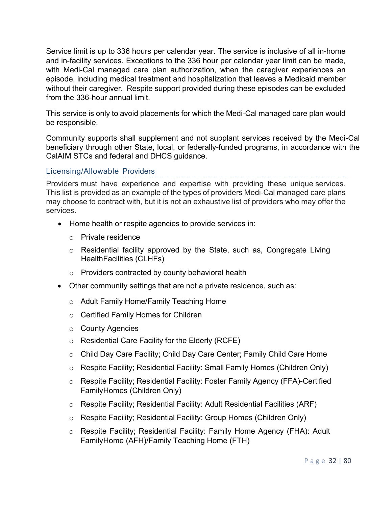Service limit is up to 336 hours per calendar year. The service is inclusive of all in-home and in-facility services. Exceptions to the 336 hour per calendar year limit can be made, with Medi-Cal managed care plan authorization, when the caregiver experiences an episode, including medical treatment and hospitalization that leaves a Medicaid member without their caregiver. Respite support provided during these episodes can be excluded from the 336-hour annual limit.

This service is only to avoid placements for which the Medi-Cal managed care plan would be responsible.

Community supports shall supplement and not supplant services received by the Medi-Cal beneficiary through other State, local, or federally-funded programs, in accordance with the CalAIM STCs and federal and DHCS guidance.

#### Licensing/Allowable Providers

Providers must have experience and expertise with providing these unique services. This list is provided as an example of the types of providers Medi-Cal managed care plans may choose to contract with, but it is not an exhaustive list of providers who may offer the services.

- Home health or respite agencies to provide services in:
	- o Private residence
	- o Residential facility approved by the State, such as, Congregate Living HealthFacilities (CLHFs)
	- o Providers contracted by county behavioral health
- Other community settings that are not a private residence, such as:
	- o Adult Family Home/Family Teaching Home
	- o Certified Family Homes for Children
	- o County Agencies
	- o Residential Care Facility for the Elderly (RCFE)
	- o Child Day Care Facility; Child Day Care Center; Family Child Care Home
	- o Respite Facility; Residential Facility: Small Family Homes (Children Only)
	- o Respite Facility; Residential Facility: Foster Family Agency (FFA)-Certified FamilyHomes (Children Only)
	- o Respite Facility; Residential Facility: Adult Residential Facilities (ARF)
	- o Respite Facility; Residential Facility: Group Homes (Children Only)
	- o Respite Facility; Residential Facility: Family Home Agency (FHA): Adult FamilyHome (AFH)/Family Teaching Home (FTH)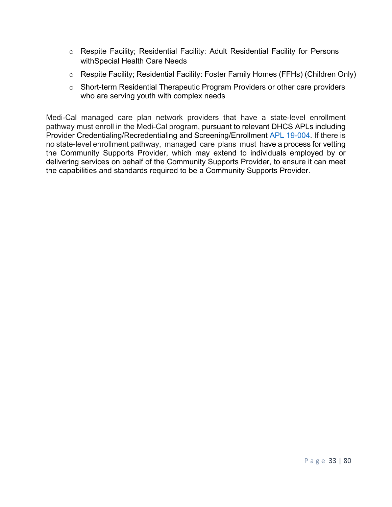- o Respite Facility; Residential Facility: Adult Residential Facility for Persons withSpecial Health Care Needs
- o Respite Facility; Residential Facility: Foster Family Homes (FFHs) (Children Only)
- o Short-term Residential Therapeutic Program Providers or other care providers who are serving youth with complex needs

Medi-Cal managed care plan network providers that have a state-level enrollment pathway must enroll in the Medi-Cal program, pursuant to relevant DHCS APLs including Provider Credentialing/Recredentialing and Screening/Enrollment APL 19-004. If there is no state-level enrollment pathway, managed care plans must have a process for vetting the Community Supports Provider, which may extend to individuals employed by or delivering services on behalf of the Community Supports Provider, to ensure it can meet the capabilities and standards required to be a Community Supports Provider.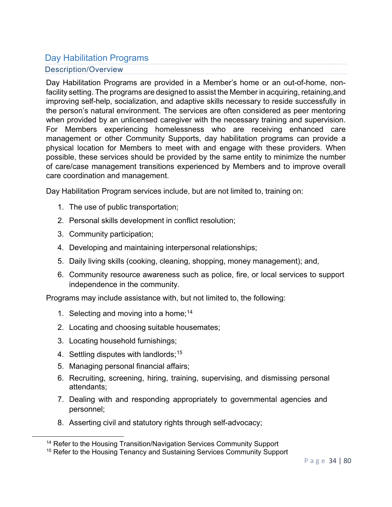### Day Habilitation Programs Description/Overview

Day Habilitation Programs are provided in a Member's home or an out-of-home, nonfacility setting. The programs are designed to assist the Member in acquiring, retaining,and improving self-help, socialization, and adaptive skills necessary to reside successfully in the person's natural environment. The services are often considered as peer mentoring when provided by an unlicensed caregiver with the necessary training and supervision. For Members experiencing homelessness who are receiving enhanced care management or other Community Supports, day habilitation programs can provide a physical location for Members to meet with and engage with these providers. When possible, these services should be provided by the same entity to minimize the number of care/case management transitions experienced by Members and to improve overall care coordination and management.

Day Habilitation Program services include, but are not limited to, training on:

- 1. The use of public transportation;
- 2. Personal skills development in conflict resolution;
- 3. Community participation;
- 4. Developing and maintaining interpersonal relationships;
- 5. Daily living skills (cooking, cleaning, shopping, money management); and,
- 6. Community resource awareness such as police, fire, or local services to support independence in the community.

Programs may include assistance with, but not limited to, the following:

- 1. Selecting and moving into a home:  $14$
- 2. Locating and choosing suitable housemates;
- 3. Locating household furnishings;
- 4.  $\,$  Settling disputes with landlords; $^{15}$
- 5. Managing personal financial affairs;
- 6. Recruiting, screening, hiring, training, supervising, and dismissing personal attendants;
- 7. Dealing with and responding appropriately to governmental agencies and personnel;
- 8. Asserting civil and statutory rights through self-advocacy;

<sup>&</sup>lt;sup>14</sup> Refer to the Housing Transition/Navigation Services Community Support

<sup>&</sup>lt;sup>15</sup> Refer to the Housing Tenancy and Sustaining Services Community Support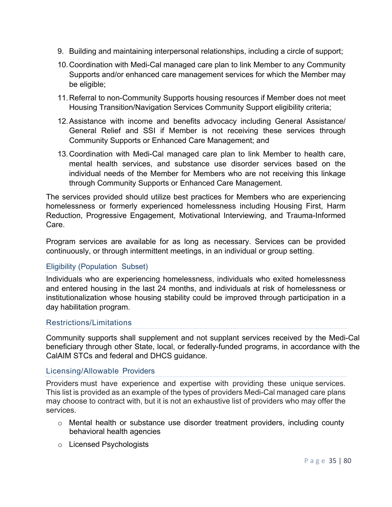- 9. Building and maintaining interpersonal relationships, including a circle of support;
- 10.Coordination with Medi-Cal managed care plan to link Member to any Community Supports and/or enhanced care management services for which the Member may be eligible;
- 11.Referral to non-Community Supports housing resources if Member does not meet Housing Transition/Navigation Services Community Support eligibility criteria;
- 12.Assistance with income and benefits advocacy including General Assistance/ General Relief and SSI if Member is not receiving these services through Community Supports or Enhanced Care Management; and
- 13.Coordination with Medi-Cal managed care plan to link Member to health care, mental health services, and substance use disorder services based on the individual needs of the Member for Members who are not receiving this linkage through Community Supports or Enhanced Care Management.

The services provided should utilize best practices for Members who are experiencing homelessness or formerly experienced homelessness including Housing First, Harm Reduction, Progressive Engagement, Motivational Interviewing, and Trauma-Informed Care.

Program services are available for as long as necessary. Services can be provided continuously, or through intermittent meetings, in an individual or group setting.

#### Eligibility (Population Subset)

Individuals who are experiencing homelessness, individuals who exited homelessness and entered housing in the last 24 months, and individuals at risk of homelessness or institutionalization whose housing stability could be improved through participation in a day habilitation program.

#### Restrictions/Limitations

Community supports shall supplement and not supplant services received by the Medi-Cal beneficiary through other State, local, or federally-funded programs, in accordance with the CalAIM STCs and federal and DHCS guidance.

#### Licensing/Allowable Providers

Providers must have experience and expertise with providing these unique services. This list is provided as an example of the types of providers Medi-Cal managed care plans may choose to contract with, but it is not an exhaustive list of providers who may offer the services.

- $\circ$  Mental health or substance use disorder treatment providers, including county behavioral health agencies
- o Licensed Psychologists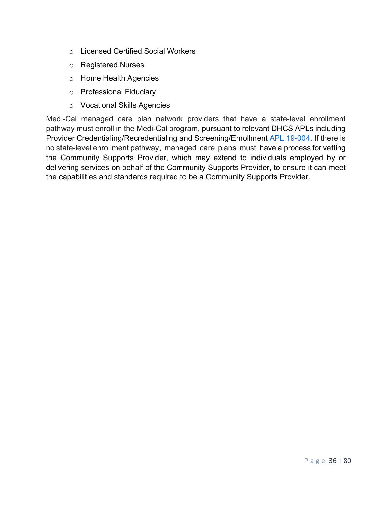- o Licensed Certified Social Workers
- o Registered Nurses
- o Home Health Agencies
- o Professional Fiduciary
- o Vocational Skills Agencies

Medi-Cal managed care plan network providers that have a state-level enrollment pathway must enroll in the Medi-Cal program, pursuant to relevant DHCS APLs including Provider Credentialing/Recredentialing and Screening/Enrollment APL 19-004. If there is no state-level enrollment pathway, managed care plans must have a process for vetting the Community Supports Provider, which may extend to individuals employed by or delivering services on behalf of the Community Supports Provider, to ensure it can meet the capabilities and standards required to be a Community Supports Provider.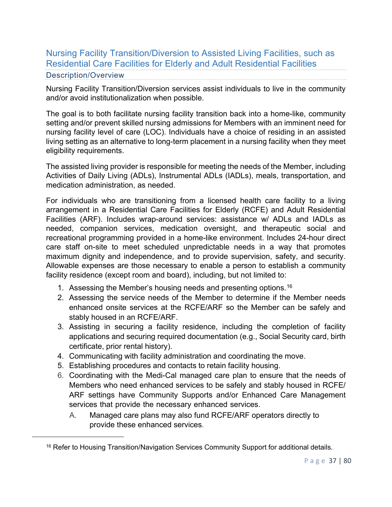# Nursing Facility Transition/Diversion to Assisted Living Facilities, such as Residential Care Facilities for Elderly and Adult Residential Facilities

### Description/Overview

Nursing Facility Transition/Diversion services assist individuals to live in the community and/or avoid institutionalization when possible.

The goal is to both facilitate nursing facility transition back into a home-like, community setting and/or prevent skilled nursing admissions for Members with an imminent need for nursing facility level of care (LOC). Individuals have a choice of residing in an assisted living setting as an alternative to long-term placement in a nursing facility when they meet eligibility requirements.

The assisted living provider is responsible for meeting the needs of the Member, including Activities of Daily Living (ADLs), Instrumental ADLs (IADLs), meals, transportation, and medication administration, as needed.

For individuals who are transitioning from a licensed health care facility to a living arrangement in a Residential Care Facilities for Elderly (RCFE) and Adult Residential Facilities (ARF). Includes wrap-around services: assistance w/ ADLs and IADLs as needed, companion services, medication oversight, and therapeutic social and recreational programming provided in a home-like environment. Includes 24-hour direct care staff on-site to meet scheduled unpredictable needs in a way that promotes maximum dignity and independence, and to provide supervision, safety, and security. Allowable expenses are those necessary to enable a person to establish a community facility residence (except room and board), including, but not limited to:

- 1. Assessing the Member's housing needs and presenting options.<sup>16</sup>
- 2. Assessing the service needs of the Member to determine if the Member needs enhanced onsite services at the RCFE/ARF so the Member can be safely and stably housed in an RCFE/ARF.
- 3. Assisting in securing a facility residence, including the completion of facility applications and securing required documentation (e.g., Social Security card, birth certificate, prior rental history).
- 4. Communicating with facility administration and coordinating the move.
- 5. Establishing procedures and contacts to retain facility housing.
- 6. Coordinating with the Medi-Cal managed care plan to ensure that the needs of Members who need enhanced services to be safely and stably housed in RCFE/ ARF settings have Community Supports and/or Enhanced Care Management services that provide the necessary enhanced services.
	- A. Managed care plans may also fund RCFE/ARF operators directly to provide these enhanced services.

<sup>&</sup>lt;sup>16</sup> Refer to Housing Transition/Navigation Services Community Support for additional details.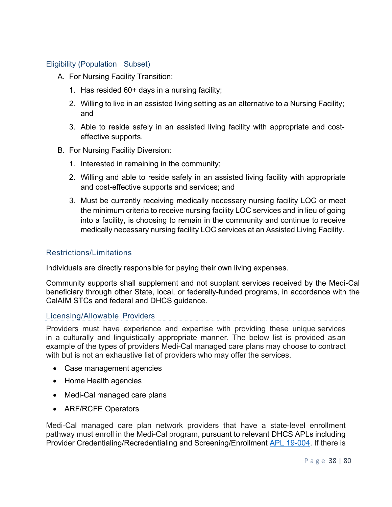## Eligibility (Population Subset)

- A. For Nursing Facility Transition:
	- 1. Has resided 60+ days in a nursing facility;
	- 2. Willing to live in an assisted living setting as an alternative to a Nursing Facility; and
	- 3. Able to reside safely in an assisted living facility with appropriate and costeffective supports.
- B. For Nursing Facility Diversion:
	- 1. Interested in remaining in the community;
	- 2. Willing and able to reside safely in an assisted living facility with appropriate and cost-effective supports and services; and
	- 3. Must be currently receiving medically necessary nursing facility LOC or meet the minimum criteria to receive nursing facility LOC services and in lieu of going into a facility, is choosing to remain in the community and continue to receive medically necessary nursing facility LOC services at an Assisted Living Facility.

#### Restrictions/Limitations

Individuals are directly responsible for paying their own living expenses.

Community supports shall supplement and not supplant services received by the Medi-Cal beneficiary through other State, local, or federally-funded programs, in accordance with the CalAIM STCs and federal and DHCS guidance.

#### Licensing/Allowable Providers

Providers must have experience and expertise with providing these unique services in a culturally and linguistically appropriate manner. The below list is provided as an example of the types of providers Medi-Cal managed care plans may choose to contract with but is not an exhaustive list of providers who may offer the services.

- Case management agencies
- Home Health agencies
- Medi-Cal managed care plans
- ARF/RCFE Operators

Medi-Cal managed care plan network providers that have a state-level enrollment pathway must enroll in the Medi-Cal program, pursuant to relevant DHCS APLs including Provider Credentialing/Recredentialing and Screening/Enrollment APL 19-004. If there is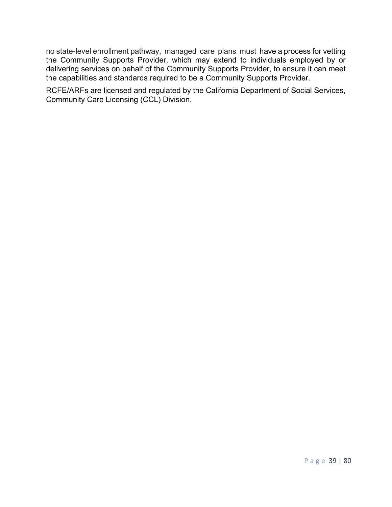no state-level enrollment pathway, managed care plans must have a process for vetting the Community Supports Provider, which may extend to individuals employed by or delivering services on behalf of the Community Supports Provider, to ensure it can meet the capabilities and standards required to be a Community Supports Provider.

RCFE/ARFs are licensed and regulated by the California Department of Social Services, Community Care Licensing (CCL) Division.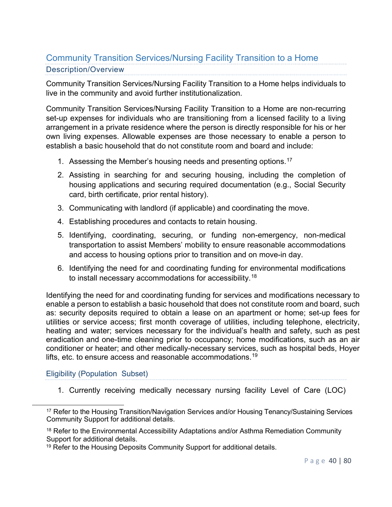# Community Transition Services/Nursing Facility Transition to a Home Description/Overview

Community Transition Services/Nursing Facility Transition to a Home helps individuals to live in the community and avoid further institutionalization.

Community Transition Services/Nursing Facility Transition to a Home are non-recurring set-up expenses for individuals who are transitioning from a licensed facility to a living arrangement in a private residence where the person is directly responsible for his or her own living expenses. Allowable expenses are those necessary to enable a person to establish a basic household that do not constitute room and board and include:

- 1. Assessing the Member's housing needs and presenting options.<sup>17</sup>
- 2. Assisting in searching for and securing housing, including the completion of housing applications and securing required documentation (e.g., Social Security card, birth certificate, prior rental history).
- 3. Communicating with landlord (if applicable) and coordinating the move.
- 4. Establishing procedures and contacts to retain housing.
- 5. Identifying, coordinating, securing, or funding non-emergency, non-medical transportation to assist Members' mobility to ensure reasonable accommodations and access to housing options prior to transition and on move-in day.
- 6. Identifying the need for and coordinating funding for environmental modifications to install necessary accommodations for accessibility.<sup>18</sup>

Identifying the need for and coordinating funding for services and modifications necessary to enable a person to establish a basic household that does not constitute room and board, such as: security deposits required to obtain a lease on an apartment or home; set-up fees for utilities or service access; first month coverage of utilities, including telephone, electricity, heating and water; services necessary for the individual's health and safety, such as pest eradication and one-time cleaning prior to occupancy; home modifications, such as an air conditioner or heater; and other medically-necessary services, such as hospital beds, Hoyer lifts, etc. to ensure access and reasonable accommodations. $^{\rm 19}$ 

### Eligibility (Population Subset)

1. Currently receiving medically necessary nursing facility Level of Care (LOC)

<sup>&</sup>lt;sup>17</sup> Refer to the Housing Transition/Navigation Services and/or Housing Tenancy/Sustaining Services Community Support for additional details.

<sup>&</sup>lt;sup>18</sup> Refer to the Environmental Accessibility Adaptations and/or Asthma Remediation Community Support for additional details.

<sup>&</sup>lt;sup>19</sup> Refer to the Housing Deposits Community Support for additional details.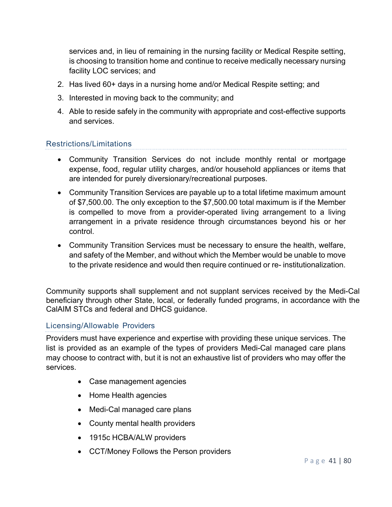services and, in lieu of remaining in the nursing facility or Medical Respite setting, is choosing to transition home and continue to receive medically necessary nursing facility LOC services; and

- 2. Has lived 60+ days in a nursing home and/or Medical Respite setting; and
- 3. Interested in moving back to the community; and
- 4. Able to reside safely in the community with appropriate and cost-effective supports and services.

## Restrictions/Limitations

- Community Transition Services do not include monthly rental or mortgage expense, food, regular utility charges, and/or household appliances or items that are intended for purely diversionary/recreational purposes.
- Community Transition Services are payable up to a total lifetime maximum amount of \$7,500.00. The only exception to the \$7,500.00 total maximum is if the Member is compelled to move from a provider-operated living arrangement to a living arrangement in a private residence through circumstances beyond his or her control.
- Community Transition Services must be necessary to ensure the health, welfare, and safety of the Member, and without which the Member would be unable to move to the private residence and would then require continued or re- institutionalization.

Community supports shall supplement and not supplant services received by the Medi-Cal beneficiary through other State, local, or federally funded programs, in accordance with the CalAIM STCs and federal and DHCS guidance.

#### Licensing/Allowable Providers

Providers must have experience and expertise with providing these unique services. The list is provided as an example of the types of providers Medi-Cal managed care plans may choose to contract with, but it is not an exhaustive list of providers who may offer the services.

- Case management agencies
- Home Health agencies
- Medi-Cal managed care plans
- County mental health providers
- 1915c HCBA/ALW providers
- CCT/Money Follows the Person providers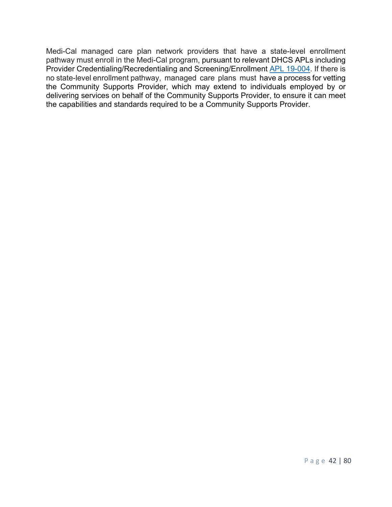Medi-Cal managed care plan network providers that have a state-level enrollment pathway must enroll in the Medi-Cal program, pursuant to relevant DHCS APLs including Provider Credentialing/Recredentialing and Screening/Enrollment APL 19-004. If there is no state-level enrollment pathway, managed care plans must have a process for vetting the Community Supports Provider, which may extend to individuals employed by or delivering services on behalf of the Community Supports Provider, to ensure it can meet the capabilities and standards required to be a Community Supports Provider.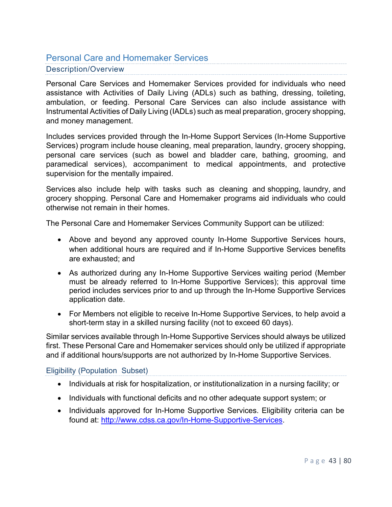# Personal Care and Homemaker Services Description/Overview

Personal Care Services and Homemaker Services provided for individuals who need assistance with Activities of Daily Living (ADLs) such as bathing, dressing, toileting, ambulation, or feeding. Personal Care Services can also include assistance with Instrumental Activities of Daily Living (IADLs) such as meal preparation, grocery shopping, and money management.

Includes services provided through the In-Home Support Services (In-Home Supportive Services) program include house cleaning, meal preparation, laundry, grocery shopping, personal care services (such as bowel and bladder care, bathing, grooming, and paramedical services), accompaniment to medical appointments, and protective supervision for the mentally impaired.

Services also include help with tasks such as cleaning and shopping, laundry, and grocery shopping. Personal Care and Homemaker programs aid individuals who could otherwise not remain in their homes.

The Personal Care and Homemaker Services Community Support can be utilized:

- Above and beyond any approved county In-Home Supportive Services hours, when additional hours are required and if In-Home Supportive Services benefits are exhausted; and
- As authorized during any In-Home Supportive Services waiting period (Member must be already referred to In-Home Supportive Services); this approval time period includes services prior to and up through the In-Home Supportive Services application date.
- For Members not eligible to receive In-Home Supportive Services, to help avoid a short-term stay in a skilled nursing facility (not to exceed 60 days).

Similar services available through In-Home Supportive Services should always be utilized first. These Personal Care and Homemaker services should only be utilized if appropriate and if additional hours/supports are not authorized by In-Home Supportive Services.

### Eligibility (Population Subset)

- Individuals at risk for hospitalization, or institutionalization in a nursing facility; or
- Individuals with functional deficits and no other adequate support system; or
- Individuals approved for In-Home Supportive Services. Eligibility criteria can be found at: http://www.cdss.ca.gov/In-Home-Supportive-Services.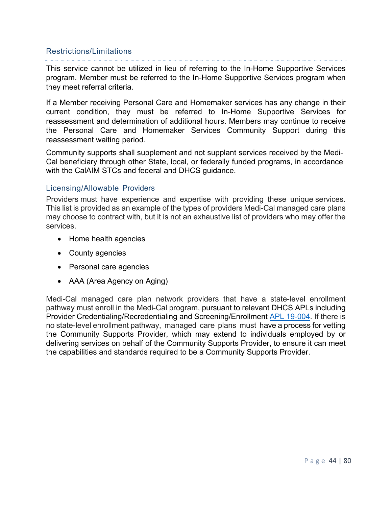### Restrictions/Limitations

This service cannot be utilized in lieu of referring to the In-Home Supportive Services program. Member must be referred to the In-Home Supportive Services program when they meet referral criteria.

If a Member receiving Personal Care and Homemaker services has any change in their current condition, they must be referred to In-Home Supportive Services for reassessment and determination of additional hours. Members may continue to receive the Personal Care and Homemaker Services Community Support during this reassessment waiting period.

Community supports shall supplement and not supplant services received by the Medi-Cal beneficiary through other State, local, or federally funded programs, in accordance with the CalAIM STCs and federal and DHCS guidance.

#### Licensing/Allowable Providers

Providers must have experience and expertise with providing these unique services. This list is provided as an example of the types of providers Medi-Cal managed care plans may choose to contract with, but it is not an exhaustive list of providers who may offer the services.

- Home health agencies
- County agencies
- Personal care agencies
- AAA (Area Agency on Aging)

Medi-Cal managed care plan network providers that have a state-level enrollment pathway must enroll in the Medi-Cal program, pursuant to relevant DHCS APLs including Provider Credentialing/Recredentialing and Screening/Enrollment APL 19-004. If there is no state-level enrollment pathway, managed care plans must have a process for vetting the Community Supports Provider, which may extend to individuals employed by or delivering services on behalf of the Community Supports Provider, to ensure it can meet the capabilities and standards required to be a Community Supports Provider.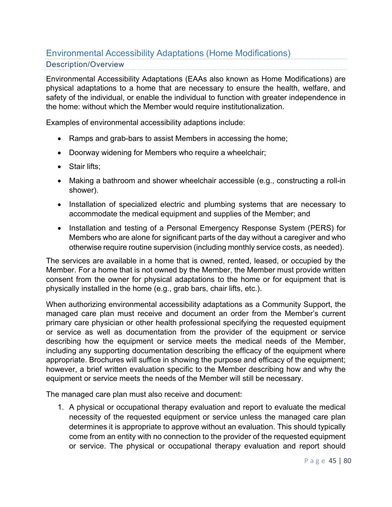# Environmental Accessibility Adaptations (Home Modifications) Description/Overview

Environmental Accessibility Adaptations (EAAs also known as Home Modifications) are physical adaptations to a home that are necessary to ensure the health, welfare, and safety of the individual, or enable the individual to function with greater independence in the home: without which the Member would require institutionalization.

Examples of environmental accessibility adaptions include:

- Ramps and grab-bars to assist Members in accessing the home;
- Doorway widening for Members who require a wheelchair;
- Stair lifts;
- Making a bathroom and shower wheelchair accessible (e.g., constructing a roll-in shower).
- Installation of specialized electric and plumbing systems that are necessary to accommodate the medical equipment and supplies of the Member; and
- Installation and testing of a Personal Emergency Response System (PERS) for Members who are alone for significant parts of the day without a caregiver and who otherwise require routine supervision (including monthly service costs, as needed).

The services are available in a home that is owned, rented, leased, or occupied by the Member. For a home that is not owned by the Member, the Member must provide written consent from the owner for physical adaptations to the home or for equipment that is physically installed in the home (e.g., grab bars, chair lifts, etc.).

When authorizing environmental accessibility adaptations as a Community Support, the managed care plan must receive and document an order from the Member's current primary care physician or other health professional specifying the requested equipment or service as well as documentation from the provider of the equipment or service describing how the equipment or service meets the medical needs of the Member, including any supporting documentation describing the efficacy of the equipment where appropriate. Brochures will suffice in showing the purpose and efficacy of the equipment; however, a brief written evaluation specific to the Member describing how and why the equipment or service meets the needs of the Member will still be necessary.

The managed care plan must also receive and document:

1. A physical or occupational therapy evaluation and report to evaluate the medical necessity of the requested equipment or service unless the managed care plan determines it is appropriate to approve without an evaluation. This should typically come from an entity with no connection to the provider of the requested equipment or service. The physical or occupational therapy evaluation and report should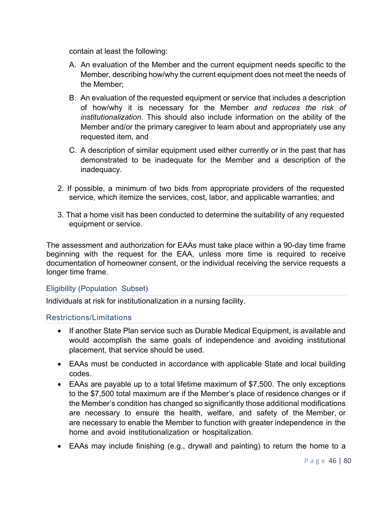contain at least the following:

- A. An evaluation of the Member and the current equipment needs specific to the Member, describing how/why the current equipment does not meet the needs of the Member;
- B. An evaluation of the requested equipment or service that includes a description of how/why it is necessary for the Member *and reduces the risk of institutionalization*. This should also include information on the ability of the Member and/or the primary caregiver to learn about and appropriately use any requested item, and
- C. A description of similar equipment used either currently or in the past that has demonstrated to be inadequate for the Member and a description of the inadequacy.
- 2. If possible, a minimum of two bids from appropriate providers of the requested service, which itemize the services, cost, labor, and applicable warranties; and
- 3. That a home visit has been conducted to determine the suitability of any requested equipment or service.

The assessment and authorization for EAAs must take place within a 90-day time frame beginning with the request for the EAA, unless more time is required to receive documentation of homeowner consent, or the individual receiving the service requests a longer time frame.

### Eligibility (Population Subset)

Individuals at risk for institutionalization in a nursing facility.

### Restrictions/Limitations

- If another State Plan service such as Durable Medical Equipment, is available and would accomplish the same goals of independence and avoiding institutional placement, that service should be used.
- EAAs must be conducted in accordance with applicable State and local building codes.
- EAAs are payable up to a total lifetime maximum of \$7,500. The only exceptions to the \$7,500 total maximum are if the Member's place of residence changes or if the Member's condition has changed so significantly those additional modifications are necessary to ensure the health, welfare, and safety of the Member, or are necessary to enable the Member to function with greater independence in the home and avoid institutionalization or hospitalization.
- EAAs may include finishing (e.g., drywall and painting) to return the home to a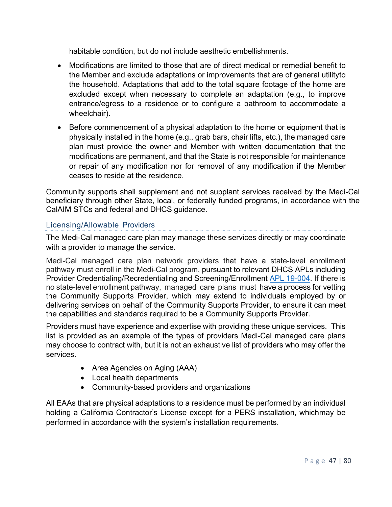habitable condition, but do not include aesthetic embellishments.

- Modifications are limited to those that are of direct medical or remedial benefit to the Member and exclude adaptations or improvements that are of general utilityto the household. Adaptations that add to the total square footage of the home are excluded except when necessary to complete an adaptation (e.g., to improve entrance/egress to a residence or to configure a bathroom to accommodate a wheelchair).
- Before commencement of a physical adaptation to the home or equipment that is physically installed in the home (e.g., grab bars, chair lifts, etc.), the managed care plan must provide the owner and Member with written documentation that the modifications are permanent, and that the State is not responsible for maintenance or repair of any modification nor for removal of any modification if the Member ceases to reside at the residence.

Community supports shall supplement and not supplant services received by the Medi-Cal beneficiary through other State, local, or federally funded programs, in accordance with the CalAIM STCs and federal and DHCS guidance.

# Licensing/Allowable Providers

The Medi-Cal managed care plan may manage these services directly or may coordinate with a provider to manage the service.

Medi-Cal managed care plan network providers that have a state-level enrollment pathway must enroll in the Medi-Cal program, pursuant to relevant DHCS APLs including Provider Credentialing/Recredentialing and Screening/Enrollment APL 19-004. If there is no state-level enrollment pathway, managed care plans must have a process for vetting the Community Supports Provider, which may extend to individuals employed by or delivering services on behalf of the Community Supports Provider, to ensure it can meet the capabilities and standards required to be a Community Supports Provider.

Providers must have experience and expertise with providing these unique services. This list is provided as an example of the types of providers Medi-Cal managed care plans may choose to contract with, but it is not an exhaustive list of providers who may offer the services.

- Area Agencies on Aging (AAA)
- Local health departments
- Community-based providers and organizations

All EAAs that are physical adaptations to a residence must be performed by an individual holding a California Contractor's License except for a PERS installation, whichmay be performed in accordance with the system's installation requirements.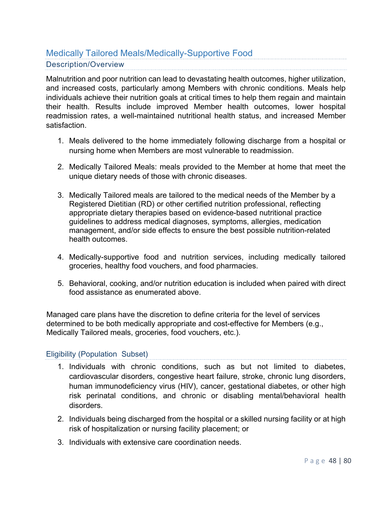# Medically Tailored Meals/Medically-Supportive Food Description/Overview

Malnutrition and poor nutrition can lead to devastating health outcomes, higher utilization, and increased costs, particularly among Members with chronic conditions. Meals help individuals achieve their nutrition goals at critical times to help them regain and maintain their health. Results include improved Member health outcomes, lower hospital readmission rates, a well-maintained nutritional health status, and increased Member satisfaction.

- 1. Meals delivered to the home immediately following discharge from a hospital or nursing home when Members are most vulnerable to readmission.
- 2. Medically Tailored Meals: meals provided to the Member at home that meet the unique dietary needs of those with chronic diseases.
- 3. Medically Tailored meals are tailored to the medical needs of the Member by a Registered Dietitian (RD) or other certified nutrition professional, reflecting appropriate dietary therapies based on evidence-based nutritional practice guidelines to address medical diagnoses, symptoms, allergies, medication management, and/or side effects to ensure the best possible nutrition-related health outcomes.
- 4. Medically-supportive food and nutrition services, including medically tailored groceries, healthy food vouchers, and food pharmacies.
- 5. Behavioral, cooking, and/or nutrition education is included when paired with direct food assistance as enumerated above.

Managed care plans have the discretion to define criteria for the level of services determined to be both medically appropriate and cost-effective for Members (e.g., Medically Tailored meals, groceries, food vouchers, etc.).

### Eligibility (Population Subset)

- 1. Individuals with chronic conditions, such as but not limited to diabetes, cardiovascular disorders, congestive heart failure, stroke, chronic lung disorders, human immunodeficiency virus (HIV), cancer, gestational diabetes, or other high risk perinatal conditions, and chronic or disabling mental/behavioral health disorders.
- 2. Individuals being discharged from the hospital or a skilled nursing facility or at high risk of hospitalization or nursing facility placement; or
- 3. Individuals with extensive care coordination needs.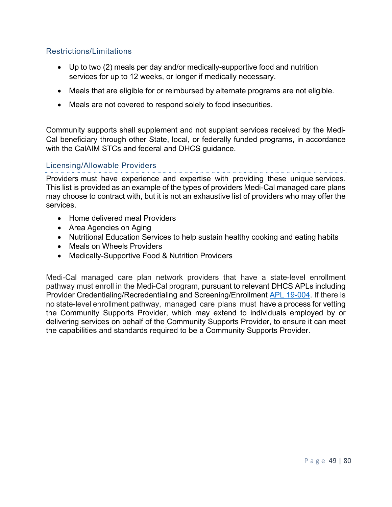# Restrictions/Limitations

- Up to two (2) meals per day and/or medically-supportive food and nutrition services for up to 12 weeks, or longer if medically necessary.
- Meals that are eligible for or reimbursed by alternate programs are not eligible.
- Meals are not covered to respond solely to food insecurities.

Community supports shall supplement and not supplant services received by the Medi-Cal beneficiary through other State, local, or federally funded programs, in accordance with the CalAIM STCs and federal and DHCS guidance.

### Licensing/Allowable Providers

Providers must have experience and expertise with providing these unique services. This list is provided as an example of the types of providers Medi-Cal managed care plans may choose to contract with, but it is not an exhaustive list of providers who may offer the services.

- Home delivered meal Providers
- Area Agencies on Aging
- Nutritional Education Services to help sustain healthy cooking and eating habits
- Meals on Wheels Providers
- Medically-Supportive Food & Nutrition Providers

Medi-Cal managed care plan network providers that have a state-level enrollment pathway must enroll in the Medi-Cal program, pursuant to relevant DHCS APLs including Provider Credentialing/Recredentialing and Screening/Enrollment APL 19-004. If there is no state-level enrollment pathway, managed care plans must have a process for vetting the Community Supports Provider, which may extend to individuals employed by or delivering services on behalf of the Community Supports Provider, to ensure it can meet the capabilities and standards required to be a Community Supports Provider.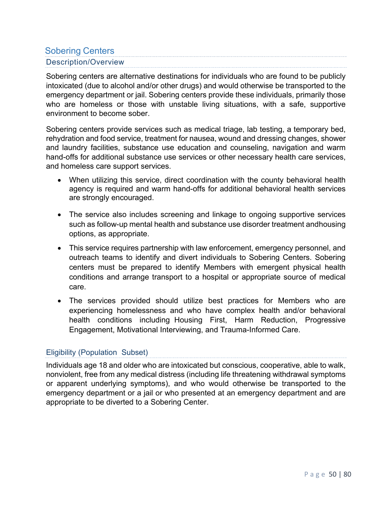# Sobering Centers Description/Overview

Sobering centers are alternative destinations for individuals who are found to be publicly intoxicated (due to alcohol and/or other drugs) and would otherwise be transported to the emergency department or jail. Sobering centers provide these individuals, primarily those who are homeless or those with unstable living situations, with a safe, supportive environment to become sober.

Sobering centers provide services such as medical triage, lab testing, a temporary bed, rehydration and food service, treatment for nausea, wound and dressing changes, shower and laundry facilities, substance use education and counseling, navigation and warm hand-offs for additional substance use services or other necessary health care services, and homeless care support services.

- When utilizing this service, direct coordination with the county behavioral health agency is required and warm hand-offs for additional behavioral health services are strongly encouraged.
- The service also includes screening and linkage to ongoing supportive services such as follow-up mental health and substance use disorder treatment andhousing options, as appropriate.
- This service requires partnership with law enforcement, emergency personnel, and outreach teams to identify and divert individuals to Sobering Centers. Sobering centers must be prepared to identify Members with emergent physical health conditions and arrange transport to a hospital or appropriate source of medical care.
- The services provided should utilize best practices for Members who are experiencing homelessness and who have complex health and/or behavioral health conditions including Housing First, Harm Reduction, Progressive Engagement, Motivational Interviewing, and Trauma-Informed Care.

# Eligibility (Population Subset)

Individuals age 18 and older who are intoxicated but conscious, cooperative, able to walk, nonviolent, free from any medical distress (including life threatening withdrawal symptoms or apparent underlying symptoms), and who would otherwise be transported to the emergency department or a jail or who presented at an emergency department and are appropriate to be diverted to a Sobering Center.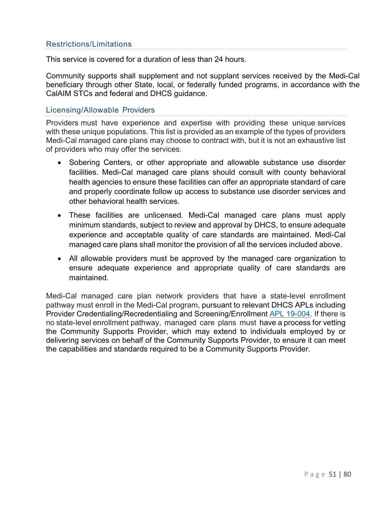### Restrictions/Limitations

This service is covered for a duration of less than 24 hours.

Community supports shall supplement and not supplant services received by the Medi-Cal beneficiary through other State, local, or federally funded programs, in accordance with the CalAIM STCs and federal and DHCS guidance.

#### Licensing/Allowable Providers

Providers must have experience and expertise with providing these unique services with these unique populations. This list is provided as an example of the types of providers Medi-Cal managed care plans may choose to contract with, but it is not an exhaustive list of providers who may offer the services.

- Sobering Centers, or other appropriate and allowable substance use disorder facilities. Medi-Cal managed care plans should consult with county behavioral health agencies to ensure these facilities can offer an appropriate standard of care and properly coordinate follow up access to substance use disorder services and other behavioral health services.
- These facilities are unlicensed. Medi-Cal managed care plans must apply minimum standards, subject to review and approval by DHCS, to ensure adequate experience and acceptable quality of care standards are maintained. Medi-Cal managed care plans shall monitor the provision of all the services included above.
- All allowable providers must be approved by the managed care organization to ensure adequate experience and appropriate quality of care standards are maintained.

Medi-Cal managed care plan network providers that have a state-level enrollment pathway must enroll in the Medi-Cal program, pursuant to relevant DHCS APLs including Provider Credentialing/Recredentialing and Screening/Enrollment APL 19-004. If there is no state-level enrollment pathway, managed care plans must have a process for vetting the Community Supports Provider, which may extend to individuals employed by or delivering services on behalf of the Community Supports Provider, to ensure it can meet the capabilities and standards required to be a Community Supports Provider.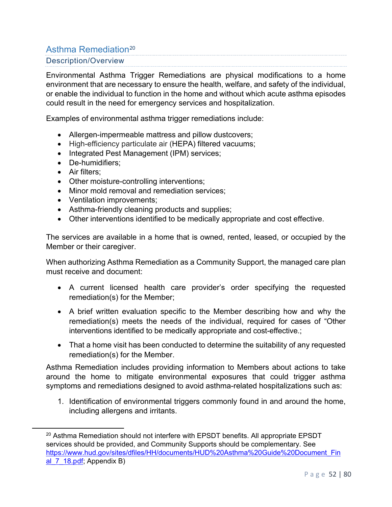# Asthma Remediation<sup>20</sup> Description/Overview

Environmental Asthma Trigger Remediations are physical modifications to a home environment that are necessary to ensure the health, welfare, and safety of the individual, or enable the individual to function in the home and without which acute asthma episodes could result in the need for emergency services and hospitalization.

Examples of environmental asthma trigger remediations include:

- Allergen-impermeable mattress and pillow dustcovers;
- High-efficiency particulate air (HEPA) filtered vacuums;
- Integrated Pest Management (IPM) services;
- De-humidifiers;
- Air filters;
- Other moisture-controlling interventions;
- Minor mold removal and remediation services;
- Ventilation improvements;
- Asthma-friendly cleaning products and supplies;
- Other interventions identified to be medically appropriate and cost effective.

The services are available in a home that is owned, rented, leased, or occupied by the Member or their caregiver.

When authorizing Asthma Remediation as a Community Support, the managed care plan must receive and document:

- A current licensed health care provider's order specifying the requested remediation(s) for the Member;
- A brief written evaluation specific to the Member describing how and why the remediation(s) meets the needs of the individual, required for cases of "Other interventions identified to be medically appropriate and cost-effective.;
- That a home visit has been conducted to determine the suitability of any requested remediation(s) for the Member.

Asthma Remediation includes providing information to Members about actions to take around the home to mitigate environmental exposures that could trigger asthma symptoms and remediations designed to avoid asthma-related hospitalizations such as:

1. Identification of environmental triggers commonly found in and around the home, including allergens and irritants.

<sup>&</sup>lt;sup>20</sup> Asthma Remediation should not interfere with EPSDT benefits. All appropriate EPSDT services should be provided, and Community Supports should be complementary. See https://www.hud.gov/sites/dfiles/HH/documents/HUD%20Asthma%20Guide%20Document\_Fin al\_7\_18.pdf; Appendix B)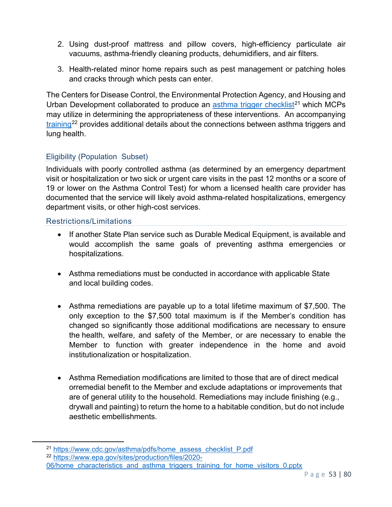- 2. Using dust-proof mattress and pillow covers, high-efficiency particulate air vacuums, asthma-friendly cleaning products, dehumidifiers, and air filters.
- 3. Health-related minor home repairs such as pest management or patching holes and cracks through which pests can enter.

The Centers for Disease Control, the Environmental Protection Agency, and Housing and Urban Development collaborated to produce an <u>asthma trigger checklist</u><sup>21</sup> which MCPs may utilize in determining the appropriateness of these interventions. An accompanying training<sup>22</sup> provides additional details about the connections between asthma triggers and lung health.

# Eligibility (Population Subset)

Individuals with poorly controlled asthma (as determined by an emergency department visit or hospitalization or two sick or urgent care visits in the past 12 months or a score of 19 or lower on the Asthma Control Test) for whom a licensed health care provider has documented that the service will likely avoid asthma-related hospitalizations, emergency department visits, or other high-cost services.

### Restrictions/Limitations

- If another State Plan service such as Durable Medical Equipment, is available and would accomplish the same goals of preventing asthma emergencies or hospitalizations.
- Asthma remediations must be conducted in accordance with applicable State and local building codes.
- Asthma remediations are payable up to a total lifetime maximum of \$7,500. The only exception to the \$7,500 total maximum is if the Member's condition has changed so significantly those additional modifications are necessary to ensure the health, welfare, and safety of the Member, or are necessary to enable the Member to function with greater independence in the home and avoid institutionalization or hospitalization.
- Asthma Remediation modifications are limited to those that are of direct medical orremedial benefit to the Member and exclude adaptations or improvements that are of general utility to the household. Remediations may include finishing (e.g., drywall and painting) to return the home to a habitable condition, but do not include aesthetic embellishments.

<sup>21</sup> https://www.cdc.gov/asthma/pdfs/home\_assess\_checklist\_P.pdf

<sup>22</sup> https://www.epa.gov/sites/production/files/2020- 06/home characteristics and asthma triggers training for home visitors 0.pptx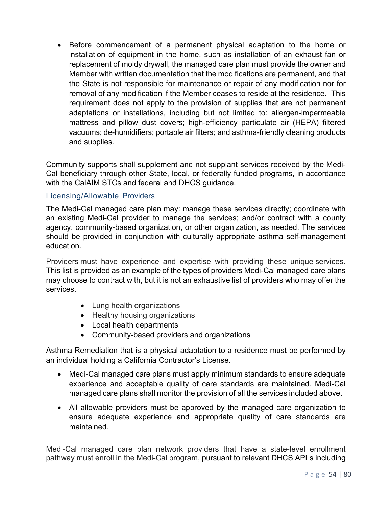• Before commencement of a permanent physical adaptation to the home or installation of equipment in the home, such as installation of an exhaust fan or replacement of moldy drywall, the managed care plan must provide the owner and Member with written documentation that the modifications are permanent, and that the State is not responsible for maintenance or repair of any modification nor for removal of any modification if the Member ceases to reside at the residence. This requirement does not apply to the provision of supplies that are not permanent adaptations or installations, including but not limited to: allergen-impermeable mattress and pillow dust covers; high-efficiency particulate air (HEPA) filtered vacuums; de-humidifiers; portable air filters; and asthma-friendly cleaning products and supplies.

Community supports shall supplement and not supplant services received by the Medi-Cal beneficiary through other State, local, or federally funded programs, in accordance with the CalAIM STCs and federal and DHCS guidance.

## Licensing/Allowable Providers

The Medi-Cal managed care plan may: manage these services directly; coordinate with an existing Medi-Cal provider to manage the services; and/or contract with a county agency, community-based organization, or other organization, as needed. The services should be provided in conjunction with culturally appropriate asthma self-management education.

Providers must have experience and expertise with providing these unique services. This list is provided as an example of the types of providers Medi-Cal managed care plans may choose to contract with, but it is not an exhaustive list of providers who may offer the services.

- Lung health organizations
- Healthy housing organizations
- Local health departments
- Community-based providers and organizations

Asthma Remediation that is a physical adaptation to a residence must be performed by an individual holding a California Contractor's License.

- Medi-Cal managed care plans must apply minimum standards to ensure adequate experience and acceptable quality of care standards are maintained. Medi-Cal managed care plans shall monitor the provision of all the services included above.
- All allowable providers must be approved by the managed care organization to ensure adequate experience and appropriate quality of care standards are maintained.

Medi-Cal managed care plan network providers that have a state-level enrollment pathway must enroll in the Medi-Cal program, pursuant to relevant DHCS APLs including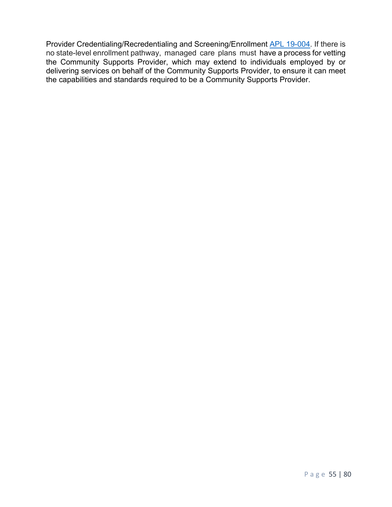Provider Credentialing/Recredentialing and Screening/Enrollment APL 19-004. If there is no state-level enrollment pathway, managed care plans must have a process for vetting the Community Supports Provider, which may extend to individuals employed by or delivering services on behalf of the Community Supports Provider, to ensure it can meet the capabilities and standards required to be a Community Supports Provider.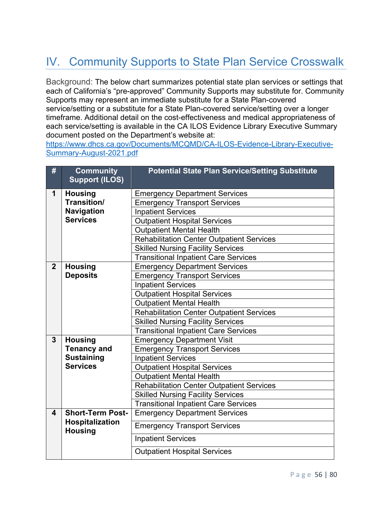# IV. Community Supports to State Plan Service Crosswalk

Background: The below chart summarizes potential state plan services or settings that each of California's "pre-approved" Community Supports may substitute for. Community Supports may represent an immediate substitute for a State Plan-covered service/setting or a substitute for a State Plan-covered service/setting over a longer timeframe. Additional detail on the cost-effectiveness and medical appropriateness of each service/setting is available in the CA ILOS Evidence Library Executive Summary document posted on the Department's website at:

https://www.dhcs.ca.gov/Documents/MCQMD/CA-ILOS-Evidence-Library-Executive-Summary-August-2021.pdf

| #              | <b>Community</b><br><b>Support (ILOS)</b>                                    | <b>Potential State Plan Service/Setting Substitute</b> |
|----------------|------------------------------------------------------------------------------|--------------------------------------------------------|
| 1              | <b>Housing</b><br>Transition/<br>Navigation                                  | <b>Emergency Department Services</b>                   |
|                |                                                                              | <b>Emergency Transport Services</b>                    |
|                |                                                                              | <b>Inpatient Services</b>                              |
|                | <b>Services</b>                                                              | <b>Outpatient Hospital Services</b>                    |
|                |                                                                              | <b>Outpatient Mental Health</b>                        |
|                |                                                                              | <b>Rehabilitation Center Outpatient Services</b>       |
|                |                                                                              | <b>Skilled Nursing Facility Services</b>               |
|                |                                                                              | <b>Transitional Inpatient Care Services</b>            |
| $\overline{2}$ | <b>Housing</b>                                                               | <b>Emergency Department Services</b>                   |
|                | <b>Deposits</b>                                                              | <b>Emergency Transport Services</b>                    |
|                |                                                                              | <b>Inpatient Services</b>                              |
|                |                                                                              | <b>Outpatient Hospital Services</b>                    |
|                |                                                                              | <b>Outpatient Mental Health</b>                        |
|                |                                                                              | <b>Rehabilitation Center Outpatient Services</b>       |
|                |                                                                              | <b>Skilled Nursing Facility Services</b>               |
|                |                                                                              | <b>Transitional Inpatient Care Services</b>            |
| 3              | <b>Housing</b><br><b>Tenancy and</b><br><b>Sustaining</b><br><b>Services</b> | <b>Emergency Department Visit</b>                      |
|                |                                                                              | <b>Emergency Transport Services</b>                    |
|                |                                                                              | <b>Inpatient Services</b>                              |
|                |                                                                              | <b>Outpatient Hospital Services</b>                    |
|                |                                                                              | <b>Outpatient Mental Health</b>                        |
|                |                                                                              | <b>Rehabilitation Center Outpatient Services</b>       |
|                |                                                                              | <b>Skilled Nursing Facility Services</b>               |
|                |                                                                              | <b>Transitional Inpatient Care Services</b>            |
| 4              | <b>Short-Term Post-</b><br>Hospitalization<br><b>Housing</b>                 | <b>Emergency Department Services</b>                   |
|                |                                                                              | <b>Emergency Transport Services</b>                    |
|                |                                                                              | <b>Inpatient Services</b>                              |
|                |                                                                              | <b>Outpatient Hospital Services</b>                    |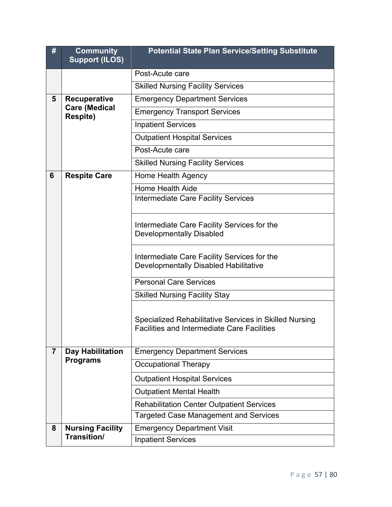| #              | <b>Community</b><br><b>Support (ILOS)</b>               | <b>Potential State Plan Service/Setting Substitute</b>                                                       |
|----------------|---------------------------------------------------------|--------------------------------------------------------------------------------------------------------------|
|                |                                                         | Post-Acute care                                                                                              |
|                |                                                         | <b>Skilled Nursing Facility Services</b>                                                                     |
| 5              | Recuperative<br><b>Care (Medical</b><br><b>Respite)</b> | <b>Emergency Department Services</b>                                                                         |
|                |                                                         | <b>Emergency Transport Services</b>                                                                          |
|                |                                                         | <b>Inpatient Services</b>                                                                                    |
|                |                                                         | <b>Outpatient Hospital Services</b>                                                                          |
|                |                                                         | Post-Acute care                                                                                              |
|                |                                                         | <b>Skilled Nursing Facility Services</b>                                                                     |
| 6              | <b>Respite Care</b>                                     | Home Health Agency                                                                                           |
|                |                                                         | <b>Home Health Aide</b>                                                                                      |
|                |                                                         | <b>Intermediate Care Facility Services</b>                                                                   |
|                |                                                         | Intermediate Care Facility Services for the<br><b>Developmentally Disabled</b>                               |
|                |                                                         | Intermediate Care Facility Services for the<br>Developmentally Disabled Habilitative                         |
|                |                                                         | <b>Personal Care Services</b>                                                                                |
|                |                                                         | <b>Skilled Nursing Facility Stay</b>                                                                         |
|                |                                                         | Specialized Rehabilitative Services in Skilled Nursing<br><b>Facilities and Intermediate Care Facilities</b> |
| $\overline{7}$ | <b>Day Habilitation</b><br><b>Programs</b>              | <b>Emergency Department Services</b>                                                                         |
|                |                                                         | <b>Occupational Therapy</b>                                                                                  |
|                |                                                         | <b>Outpatient Hospital Services</b>                                                                          |
|                |                                                         | <b>Outpatient Mental Health</b>                                                                              |
|                |                                                         | <b>Rehabilitation Center Outpatient Services</b>                                                             |
|                |                                                         | <b>Targeted Case Management and Services</b>                                                                 |
| 8              | <b>Nursing Facility</b><br><b>Transition/</b>           | <b>Emergency Department Visit</b>                                                                            |
|                |                                                         | <b>Inpatient Services</b>                                                                                    |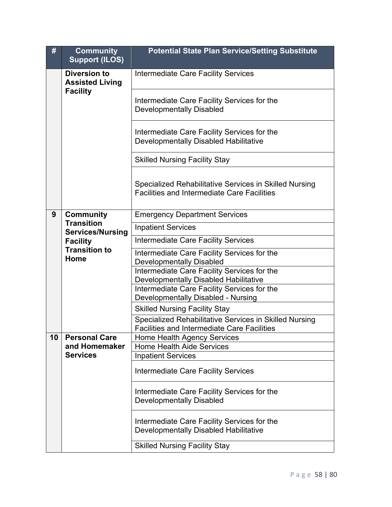| #  | <b>Community</b><br><b>Support (ILOS)</b>                        | <b>Potential State Plan Service/Setting Substitute</b>                                                       |
|----|------------------------------------------------------------------|--------------------------------------------------------------------------------------------------------------|
|    | <b>Diversion to</b><br><b>Assisted Living</b><br><b>Facility</b> | <b>Intermediate Care Facility Services</b>                                                                   |
|    |                                                                  | Intermediate Care Facility Services for the<br><b>Developmentally Disabled</b>                               |
|    |                                                                  | Intermediate Care Facility Services for the<br>Developmentally Disabled Habilitative                         |
|    |                                                                  | <b>Skilled Nursing Facility Stay</b>                                                                         |
|    |                                                                  | Specialized Rehabilitative Services in Skilled Nursing<br><b>Facilities and Intermediate Care Facilities</b> |
| 9  | <b>Community</b>                                                 | <b>Emergency Department Services</b>                                                                         |
|    | <b>Transition</b><br><b>Services/Nursing</b>                     | <b>Inpatient Services</b>                                                                                    |
|    | <b>Facility</b>                                                  | <b>Intermediate Care Facility Services</b>                                                                   |
|    | <b>Transition to</b><br>Home                                     | Intermediate Care Facility Services for the<br><b>Developmentally Disabled</b>                               |
|    |                                                                  | Intermediate Care Facility Services for the<br>Developmentally Disabled Habilitative                         |
|    |                                                                  | Intermediate Care Facility Services for the<br>Developmentally Disabled - Nursing                            |
|    |                                                                  | <b>Skilled Nursing Facility Stay</b>                                                                         |
|    |                                                                  | Specialized Rehabilitative Services in Skilled Nursing<br><b>Facilities and Intermediate Care Facilities</b> |
| 10 | <b>Personal Care</b>                                             | Home Health Agency Services                                                                                  |
|    | and Homemaker<br><b>Services</b>                                 | <b>Home Health Aide Services</b><br><b>Inpatient Services</b>                                                |
|    |                                                                  | <b>Intermediate Care Facility Services</b>                                                                   |
|    |                                                                  | Intermediate Care Facility Services for the<br><b>Developmentally Disabled</b>                               |
|    |                                                                  | Intermediate Care Facility Services for the<br>Developmentally Disabled Habilitative                         |
|    |                                                                  | <b>Skilled Nursing Facility Stay</b>                                                                         |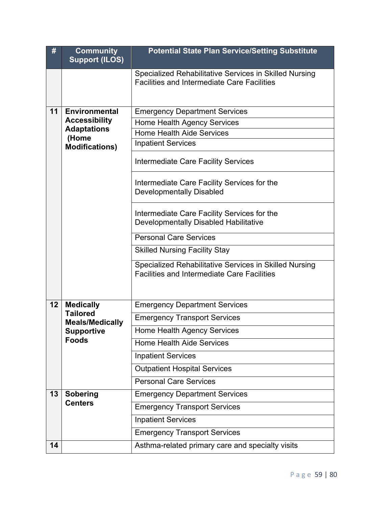| $\pmb{\#}$ | <b>Community</b><br><b>Support (ILOS)</b>                                                   | <b>Potential State Plan Service/Setting Substitute</b>                                                       |
|------------|---------------------------------------------------------------------------------------------|--------------------------------------------------------------------------------------------------------------|
|            |                                                                                             | Specialized Rehabilitative Services in Skilled Nursing<br><b>Facilities and Intermediate Care Facilities</b> |
| 11         | <b>Environmental</b>                                                                        | <b>Emergency Department Services</b>                                                                         |
|            | <b>Accessibility</b><br><b>Adaptations</b><br>(Home<br><b>Modifications)</b>                | <b>Home Health Agency Services</b>                                                                           |
|            |                                                                                             | <b>Home Health Aide Services</b>                                                                             |
|            |                                                                                             | <b>Inpatient Services</b>                                                                                    |
|            |                                                                                             | Intermediate Care Facility Services                                                                          |
|            |                                                                                             | Intermediate Care Facility Services for the<br><b>Developmentally Disabled</b>                               |
|            |                                                                                             | Intermediate Care Facility Services for the<br>Developmentally Disabled Habilitative                         |
|            |                                                                                             | <b>Personal Care Services</b>                                                                                |
|            |                                                                                             | <b>Skilled Nursing Facility Stay</b>                                                                         |
|            |                                                                                             | Specialized Rehabilitative Services in Skilled Nursing<br><b>Facilities and Intermediate Care Facilities</b> |
| 12         | <b>Medically</b><br><b>Tailored</b><br><b>Meals/Medically</b><br>Supportive<br><b>Foods</b> | <b>Emergency Department Services</b>                                                                         |
|            |                                                                                             | <b>Emergency Transport Services</b>                                                                          |
|            |                                                                                             | Home Health Agency Services                                                                                  |
|            |                                                                                             | <b>Home Health Aide Services</b>                                                                             |
|            |                                                                                             | <b>Inpatient Services</b>                                                                                    |
|            |                                                                                             | <b>Outpatient Hospital Services</b>                                                                          |
|            |                                                                                             | <b>Personal Care Services</b>                                                                                |
| 13         | <b>Sobering</b><br><b>Centers</b>                                                           | <b>Emergency Department Services</b>                                                                         |
|            |                                                                                             | <b>Emergency Transport Services</b>                                                                          |
|            |                                                                                             | <b>Inpatient Services</b>                                                                                    |
|            |                                                                                             | <b>Emergency Transport Services</b>                                                                          |
| 14         |                                                                                             | Asthma-related primary care and specialty visits                                                             |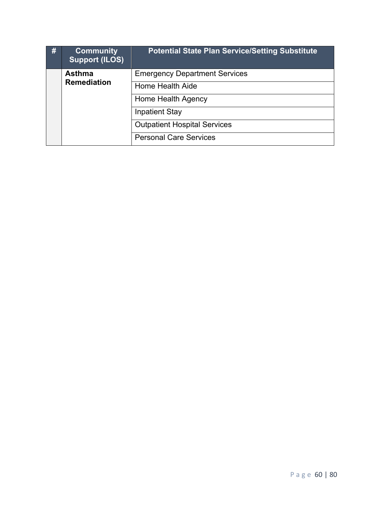| # | <b>Community</b><br><b>Support (ILOS)</b> | <b>Potential State Plan Service/Setting Substitute</b> |
|---|-------------------------------------------|--------------------------------------------------------|
|   | <b>Asthma</b><br><b>Remediation</b>       | <b>Emergency Department Services</b>                   |
|   |                                           | Home Health Aide                                       |
|   |                                           | Home Health Agency                                     |
|   |                                           | <b>Inpatient Stay</b>                                  |
|   |                                           | <b>Outpatient Hospital Services</b>                    |
|   |                                           | <b>Personal Care Services</b>                          |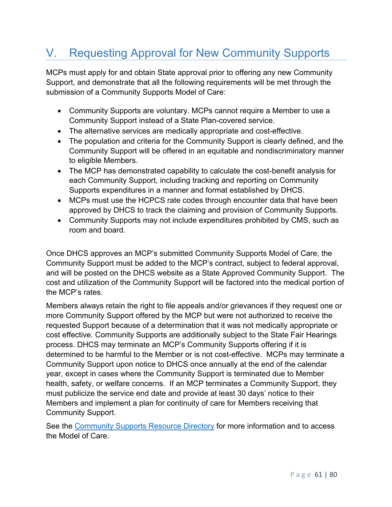# V. Requesting Approval for New Community Supports

MCPs must apply for and obtain State approval prior to offering any new Community Support, and demonstrate that all the following requirements will be met through the submission of a Community Supports Model of Care:

- Community Supports are voluntary. MCPs cannot require a Member to use a Community Support instead of a State Plan-covered service.
- The alternative services are medically appropriate and cost-effective.
- The population and criteria for the Community Support is clearly defined, and the Community Support will be offered in an equitable and nondiscriminatory manner to eligible Members.
- The MCP has demonstrated capability to calculate the cost-benefit analysis for each Community Support, including tracking and reporting on Community Supports expenditures in a manner and format established by DHCS.
- MCPs must use the HCPCS rate codes through encounter data that have been approved by DHCS to track the claiming and provision of Community Supports.
- Community Supports may not include expenditures prohibited by CMS, such as room and board.

Once DHCS approves an MCP's submitted Community Supports Model of Care, the Community Support must be added to the MCP's contract, subject to federal approval, and will be posted on the DHCS website as a State Approved Community Support. The cost and utilization of the Community Support will be factored into the medical portion of the MCP's rates.

Members always retain the right to file appeals and/or grievances if they request one or more Community Support offered by the MCP but were not authorized to receive the requested Support because of a determination that it was not medically appropriate or cost effective. Community Supports are additionally subject to the State Fair Hearings process. DHCS may terminate an MCP's Community Supports offering if it is determined to be harmful to the Member or is not cost-effective. MCPs may terminate a Community Support upon notice to DHCS once annually at the end of the calendar year, except in cases where the Community Support is terminated due to Member health, safety, or welfare concerns. If an MCP terminates a Community Support, they must publicize the service end date and provide at least 30 days' notice to their Members and implement a plan for continuity of care for Members receiving that Community Support.

See the Community Supports Resource Directory for more information and to access the Model of Care.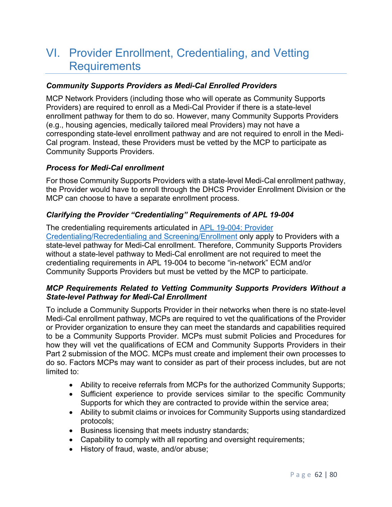# VI. Provider Enrollment, Credentialing, and Vetting **Requirements**

### *Community Supports Providers as Medi-Cal Enrolled Providers*

MCP Network Providers (including those who will operate as Community Supports Providers) are required to enroll as a Medi-Cal Provider if there is a state-level enrollment pathway for them to do so. However, many Community Supports Providers (e.g., housing agencies, medically tailored meal Providers) may not have a corresponding state-level enrollment pathway and are not required to enroll in the Medi-Cal program. Instead, these Providers must be vetted by the MCP to participate as Community Supports Providers.

### *Process for Medi-Cal enrollment*

For those Community Supports Providers with a state-level Medi-Cal enrollment pathway, the Provider would have to enroll through the DHCS Provider Enrollment Division or the MCP can choose to have a separate enrollment process.

## *Clarifying the Provider "Credentialing" Requirements of APL 19-004*

The credentialing requirements articulated in APL 19-004: Provider Credentialing/Recredentialing and Screening/Enrollment only apply to Providers with a state-level pathway for Medi-Cal enrollment. Therefore, Community Supports Providers without a state-level pathway to Medi-Cal enrollment are not required to meet the credentialing requirements in APL 19-004 to become "in-network" ECM and/or Community Supports Providers but must be vetted by the MCP to participate.

### *MCP Requirements Related to Vetting Community Supports Providers Without a State-level Pathway for Medi-Cal Enrollment*

To include a Community Supports Provider in their networks when there is no state-level Medi-Cal enrollment pathway, MCPs are required to vet the qualifications of the Provider or Provider organization to ensure they can meet the standards and capabilities required to be a Community Supports Provider. MCPs must submit Policies and Procedures for how they will vet the qualifications of ECM and Community Supports Providers in their Part 2 submission of the MOC. MCPs must create and implement their own processes to do so. Factors MCPs may want to consider as part of their process includes, but are not limited to:

- Ability to receive referrals from MCPs for the authorized Community Supports;
- Sufficient experience to provide services similar to the specific Community Supports for which they are contracted to provide within the service area;
- Ability to submit claims or invoices for Community Supports using standardized protocols;
- Business licensing that meets industry standards;
- Capability to comply with all reporting and oversight requirements;
- History of fraud, waste, and/or abuse;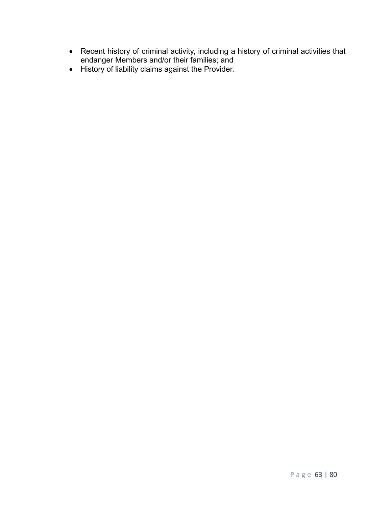- Recent history of criminal activity, including a history of criminal activities that endanger Members and/or their families; and
- History of liability claims against the Provider.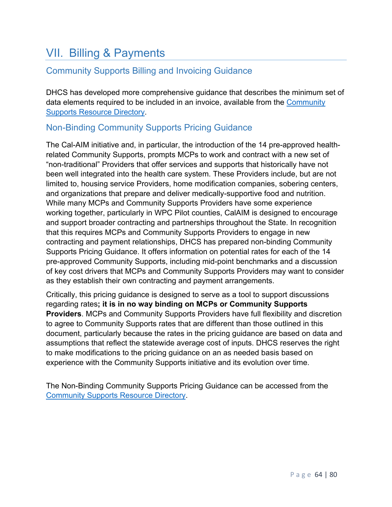# VII. Billing & Payments

# Community Supports Billing and Invoicing Guidance

DHCS has developed more comprehensive guidance that describes the minimum set of data elements required to be included in an invoice, available from the Community Supports Resource Directory.

# Non-Binding Community Supports Pricing Guidance

The Cal-AIM initiative and, in particular, the introduction of the 14 pre-approved healthrelated Community Supports, prompts MCPs to work and contract with a new set of "non-traditional" Providers that offer services and supports that historically have not been well integrated into the health care system. These Providers include, but are not limited to, housing service Providers, home modification companies, sobering centers, and organizations that prepare and deliver medically-supportive food and nutrition. While many MCPs and Community Supports Providers have some experience working together, particularly in WPC Pilot counties, CalAIM is designed to encourage and support broader contracting and partnerships throughout the State. In recognition that this requires MCPs and Community Supports Providers to engage in new contracting and payment relationships, DHCS has prepared non-binding Community Supports Pricing Guidance. It offers information on potential rates for each of the 14 pre-approved Community Supports, including mid-point benchmarks and a discussion of key cost drivers that MCPs and Community Supports Providers may want to consider as they establish their own contracting and payment arrangements.

Critically, this pricing guidance is designed to serve as a tool to support discussions regarding rates**; it is in no way binding on MCPs or Community Supports Providers**. MCPs and Community Supports Providers have full flexibility and discretion to agree to Community Supports rates that are different than those outlined in this document, particularly because the rates in the pricing guidance are based on data and assumptions that reflect the statewide average cost of inputs. DHCS reserves the right to make modifications to the pricing guidance on an as needed basis based on experience with the Community Supports initiative and its evolution over time.

The Non-Binding Community Supports Pricing Guidance can be accessed from the Community Supports Resource Directory.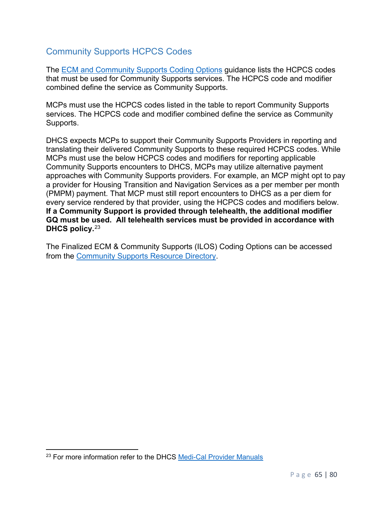# Community Supports HCPCS Codes

The **ECM** and Community Supports Coding Options guidance lists the HCPCS codes that must be used for Community Supports services. The HCPCS code and modifier combined define the service as Community Supports.

MCPs must use the HCPCS codes listed in the table to report Community Supports services. The HCPCS code and modifier combined define the service as Community Supports.

DHCS expects MCPs to support their Community Supports Providers in reporting and translating their delivered Community Supports to these required HCPCS codes. While MCPs must use the below HCPCS codes and modifiers for reporting applicable Community Supports encounters to DHCS, MCPs may utilize alternative payment approaches with Community Supports providers. For example, an MCP might opt to pay a provider for Housing Transition and Navigation Services as a per member per month (PMPM) payment. That MCP must still report encounters to DHCS as a per diem for every service rendered by that provider, using the HCPCS codes and modifiers below. **If a Community Support is provided through telehealth, the additional modifier GQ must be used. All telehealth services must be provided in accordance with DHCS policy.**23

The Finalized ECM & Community Supports (ILOS) Coding Options can be accessed from the Community Supports Resource Directory.

<sup>&</sup>lt;sup>23</sup> For more information refer to the DHCS Medi-Cal Provider Manuals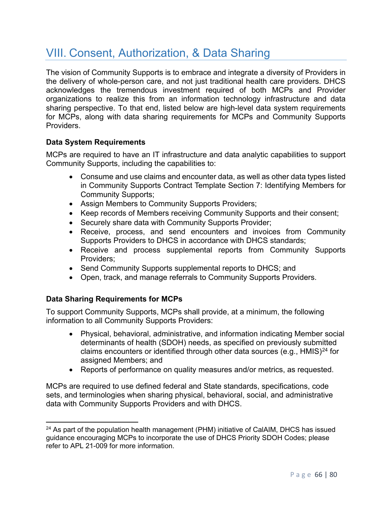# VIII. Consent, Authorization, & Data Sharing

The vision of Community Supports is to embrace and integrate a diversity of Providers in the delivery of whole-person care, and not just traditional health care providers. DHCS acknowledges the tremendous investment required of both MCPs and Provider organizations to realize this from an information technology infrastructure and data sharing perspective. To that end, listed below are high-level data system requirements for MCPs, along with data sharing requirements for MCPs and Community Supports Providers.

# **Data System Requirements**

MCPs are required to have an IT infrastructure and data analytic capabilities to support Community Supports, including the capabilities to:

- Consume and use claims and encounter data, as well as other data types listed in Community Supports Contract Template Section 7: Identifying Members for Community Supports;
- Assign Members to Community Supports Providers;
- Keep records of Members receiving Community Supports and their consent;
- Securely share data with Community Supports Provider:
- Receive, process, and send encounters and invoices from Community Supports Providers to DHCS in accordance with DHCS standards;
- Receive and process supplemental reports from Community Supports Providers;
- Send Community Supports supplemental reports to DHCS; and
- Open, track, and manage referrals to Community Supports Providers.

# **Data Sharing Requirements for MCPs**

To support Community Supports, MCPs shall provide, at a minimum, the following information to all Community Supports Providers:

- Physical, behavioral, administrative, and information indicating Member social determinants of health (SDOH) needs, as specified on previously submitted claims encounters or identified through other data sources (e.g.,  $HMIS)^{24}$  for assigned Members; and
- Reports of performance on quality measures and/or metrics, as requested.

MCPs are required to use defined federal and State standards, specifications, code sets, and terminologies when sharing physical, behavioral, social, and administrative data with Community Supports Providers and with DHCS.

<sup>&</sup>lt;sup>24</sup> As part of the population health management (PHM) initiative of CalAIM, DHCS has issued guidance encouraging MCPs to incorporate the use of DHCS Priority SDOH Codes; please refer to APL 21-009 for more information.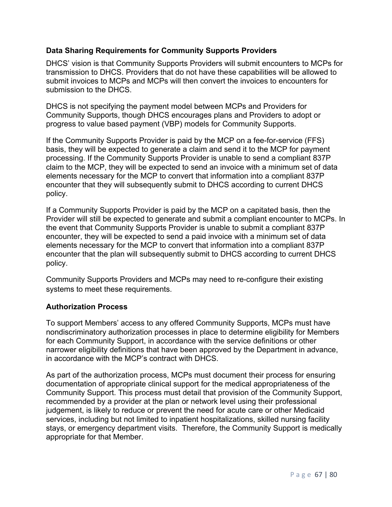## **Data Sharing Requirements for Community Supports Providers**

DHCS' vision is that Community Supports Providers will submit encounters to MCPs for transmission to DHCS. Providers that do not have these capabilities will be allowed to submit invoices to MCPs and MCPs will then convert the invoices to encounters for submission to the DHCS.

DHCS is not specifying the payment model between MCPs and Providers for Community Supports, though DHCS encourages plans and Providers to adopt or progress to value based payment (VBP) models for Community Supports.

If the Community Supports Provider is paid by the MCP on a fee-for-service (FFS) basis, they will be expected to generate a claim and send it to the MCP for payment processing. If the Community Supports Provider is unable to send a compliant 837P claim to the MCP, they will be expected to send an invoice with a minimum set of data elements necessary for the MCP to convert that information into a compliant 837P encounter that they will subsequently submit to DHCS according to current DHCS policy.

If a Community Supports Provider is paid by the MCP on a capitated basis, then the Provider will still be expected to generate and submit a compliant encounter to MCPs. In the event that Community Supports Provider is unable to submit a compliant 837P encounter, they will be expected to send a paid invoice with a minimum set of data elements necessary for the MCP to convert that information into a compliant 837P encounter that the plan will subsequently submit to DHCS according to current DHCS policy.

Community Supports Providers and MCPs may need to re-configure their existing systems to meet these requirements.

### **Authorization Process**

To support Members' access to any offered Community Supports, MCPs must have nondiscriminatory authorization processes in place to determine eligibility for Members for each Community Support, in accordance with the service definitions or other narrower eligibility definitions that have been approved by the Department in advance, in accordance with the MCP's contract with DHCS.

As part of the authorization process, MCPs must document their process for ensuring documentation of appropriate clinical support for the medical appropriateness of the Community Support. This process must detail that provision of the Community Support, recommended by a provider at the plan or network level using their professional judgement, is likely to reduce or prevent the need for acute care or other Medicaid services, including but not limited to inpatient hospitalizations, skilled nursing facility stays, or emergency department visits. Therefore, the Community Support is medically appropriate for that Member.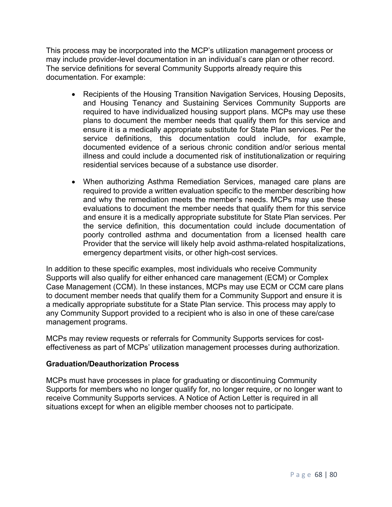This process may be incorporated into the MCP's utilization management process or may include provider-level documentation in an individual's care plan or other record. The service definitions for several Community Supports already require this documentation. For example:

- Recipients of the Housing Transition Navigation Services, Housing Deposits, and Housing Tenancy and Sustaining Services Community Supports are required to have individualized housing support plans. MCPs may use these plans to document the member needs that qualify them for this service and ensure it is a medically appropriate substitute for State Plan services. Per the service definitions, this documentation could include, for example, documented evidence of a serious chronic condition and/or serious mental illness and could include a documented risk of institutionalization or requiring residential services because of a substance use disorder.
- When authorizing Asthma Remediation Services, managed care plans are required to provide a written evaluation specific to the member describing how and why the remediation meets the member's needs. MCPs may use these evaluations to document the member needs that qualify them for this service and ensure it is a medically appropriate substitute for State Plan services. Per the service definition, this documentation could include documentation of poorly controlled asthma and documentation from a licensed health care Provider that the service will likely help avoid asthma-related hospitalizations, emergency department visits, or other high-cost services.

In addition to these specific examples, most individuals who receive Community Supports will also qualify for either enhanced care management (ECM) or Complex Case Management (CCM). In these instances, MCPs may use ECM or CCM care plans to document member needs that qualify them for a Community Support and ensure it is a medically appropriate substitute for a State Plan service. This process may apply to any Community Support provided to a recipient who is also in one of these care/case management programs.

MCPs may review requests or referrals for Community Supports services for costeffectiveness as part of MCPs' utilization management processes during authorization.

### **Graduation/Deauthorization Process**

MCPs must have processes in place for graduating or discontinuing Community Supports for members who no longer qualify for, no longer require, or no longer want to receive Community Supports services. A Notice of Action Letter is required in all situations except for when an eligible member chooses not to participate.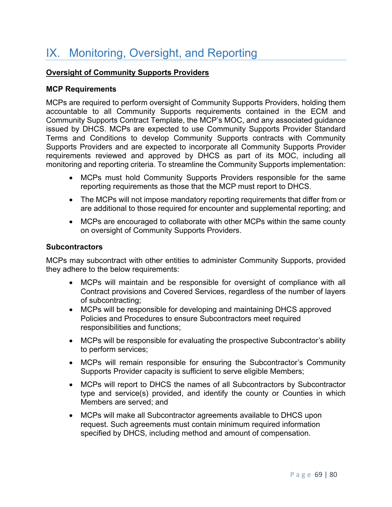# IX. Monitoring, Oversight, and Reporting

## **Oversight of Community Supports Providers**

### **MCP Requirements**

MCPs are required to perform oversight of Community Supports Providers, holding them accountable to all Community Supports requirements contained in the ECM and Community Supports Contract Template, the MCP's MOC, and any associated guidance issued by DHCS. MCPs are expected to use Community Supports Provider Standard Terms and Conditions to develop Community Supports contracts with Community Supports Providers and are expected to incorporate all Community Supports Provider requirements reviewed and approved by DHCS as part of its MOC, including all monitoring and reporting criteria. To streamline the Community Supports implementation:

- MCPs must hold Community Supports Providers responsible for the same reporting requirements as those that the MCP must report to DHCS.
- The MCPs will not impose mandatory reporting requirements that differ from or are additional to those required for encounter and supplemental reporting; and
- MCPs are encouraged to collaborate with other MCPs within the same county on oversight of Community Supports Providers.

#### **Subcontractors**

MCPs may subcontract with other entities to administer Community Supports, provided they adhere to the below requirements:

- MCPs will maintain and be responsible for oversight of compliance with all Contract provisions and Covered Services, regardless of the number of layers of subcontracting;
- MCPs will be responsible for developing and maintaining DHCS approved Policies and Procedures to ensure Subcontractors meet required responsibilities and functions;
- MCPs will be responsible for evaluating the prospective Subcontractor's ability to perform services;
- MCPs will remain responsible for ensuring the Subcontractor's Community Supports Provider capacity is sufficient to serve eligible Members;
- MCPs will report to DHCS the names of all Subcontractors by Subcontractor type and service(s) provided, and identify the county or Counties in which Members are served; and
- MCPs will make all Subcontractor agreements available to DHCS upon request. Such agreements must contain minimum required information specified by DHCS, including method and amount of compensation.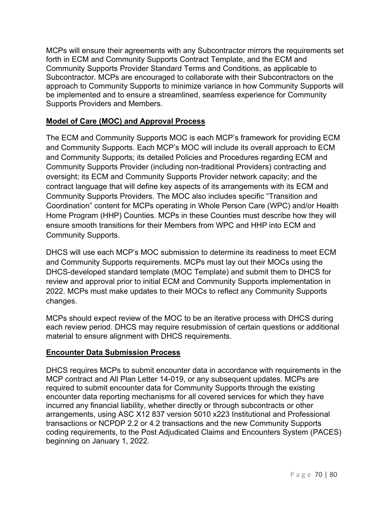MCPs will ensure their agreements with any Subcontractor mirrors the requirements set forth in ECM and Community Supports Contract Template, and the ECM and Community Supports Provider Standard Terms and Conditions, as applicable to Subcontractor. MCPs are encouraged to collaborate with their Subcontractors on the approach to Community Supports to minimize variance in how Community Supports will be implemented and to ensure a streamlined, seamless experience for Community Supports Providers and Members.

# **Model of Care (MOC) and Approval Process**

The ECM and Community Supports MOC is each MCP's framework for providing ECM and Community Supports. Each MCP's MOC will include its overall approach to ECM and Community Supports; its detailed Policies and Procedures regarding ECM and Community Supports Provider (including non-traditional Providers) contracting and oversight; its ECM and Community Supports Provider network capacity; and the contract language that will define key aspects of its arrangements with its ECM and Community Supports Providers. The MOC also includes specific "Transition and Coordination" content for MCPs operating in Whole Person Care (WPC) and/or Health Home Program (HHP) Counties. MCPs in these Counties must describe how they will ensure smooth transitions for their Members from WPC and HHP into ECM and Community Supports.

DHCS will use each MCP's MOC submission to determine its readiness to meet ECM and Community Supports requirements. MCPs must lay out their MOCs using the DHCS-developed standard template (MOC Template) and submit them to DHCS for review and approval prior to initial ECM and Community Supports implementation in 2022. MCPs must make updates to their MOCs to reflect any Community Supports changes.

MCPs should expect review of the MOC to be an iterative process with DHCS during each review period. DHCS may require resubmission of certain questions or additional material to ensure alignment with DHCS requirements.

# **Encounter Data Submission Process**

DHCS requires MCPs to submit encounter data in accordance with requirements in the MCP contract and All Plan Letter 14-019, or any subsequent updates. MCPs are required to submit encounter data for Community Supports through the existing encounter data reporting mechanisms for all covered services for which they have incurred any financial liability, whether directly or through subcontracts or other arrangements, using ASC X12 837 version 5010 x223 Institutional and Professional transactions or NCPDP 2.2 or 4.2 transactions and the new Community Supports coding requirements, to the Post Adjudicated Claims and Encounters System (PACES) beginning on January 1, 2022.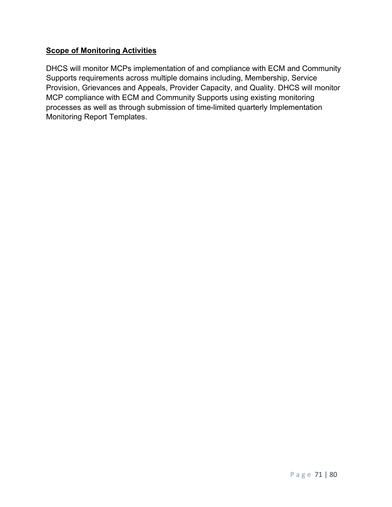# **Scope of Monitoring Activities**

DHCS will monitor MCPs implementation of and compliance with ECM and Community Supports requirements across multiple domains including, Membership, Service Provision, Grievances and Appeals, Provider Capacity, and Quality. DHCS will monitor MCP compliance with ECM and Community Supports using existing monitoring processes as well as through submission of time-limited quarterly Implementation Monitoring Report Templates.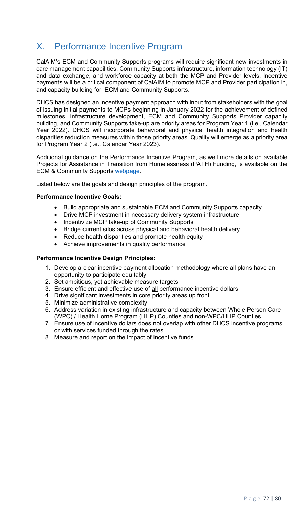# X. Performance Incentive Program

CalAIM's ECM and Community Supports programs will require significant new investments in care management capabilities, Community Supports infrastructure, information technology (IT) and data exchange, and workforce capacity at both the MCP and Provider levels. Incentive payments will be a critical component of CalAIM to promote MCP and Provider participation in, and capacity building for, ECM and Community Supports.

DHCS has designed an incentive payment approach with input from stakeholders with the goal of issuing initial payments to MCPs beginning in January 2022 for the achievement of defined milestones. Infrastructure development, ECM and Community Supports Provider capacity building, and Community Supports take-up are priority areas for Program Year 1 (i.e., Calendar Year 2022). DHCS will incorporate behavioral and physical health integration and health disparities reduction measures within those priority areas. Quality will emerge as a priority area for Program Year 2 (i.e., Calendar Year 2023).

Additional guidance on the Performance Incentive Program, as well more details on available Projects for Assistance in Transition from Homelessness (PATH) Funding, is available on the ECM & Community Supports webpage.

Listed below are the goals and design principles of the program.

# **Performance Incentive Goals:**

- Build appropriate and sustainable ECM and Community Supports capacity
- Drive MCP investment in necessary delivery system infrastructure
- Incentivize MCP take-up of Community Supports
- Bridge current silos across physical and behavioral health delivery
- Reduce health disparities and promote health equity
- Achieve improvements in quality performance

# **Performance Incentive Design Principles:**

- 1. Develop a clear incentive payment allocation methodology where all plans have an opportunity to participate equitably
- 2. Set ambitious, yet achievable measure targets
- 3. Ensure efficient and effective use of all performance incentive dollars
- 4. Drive significant investments in core priority areas up front
- 5. Minimize administrative complexity
- 6. Address variation in existing infrastructure and capacity between Whole Person Care (WPC) / Health Home Program (HHP) Counties and non-WPC/HHP Counties
- 7. Ensure use of incentive dollars does not overlap with other DHCS incentive programs or with services funded through the rates
- 8. Measure and report on the impact of incentive funds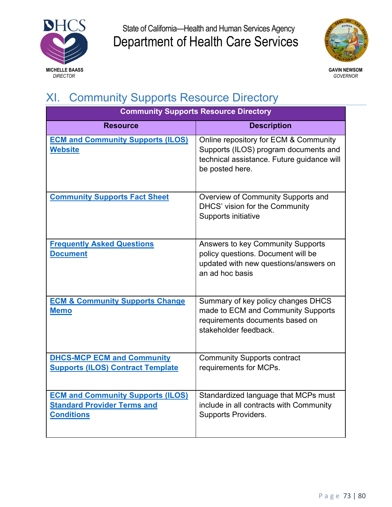



## XI. Community Supports Resource Directory

| <b>Community Supports Resource Directory</b>                                                        |                                                                                                                                                 |
|-----------------------------------------------------------------------------------------------------|-------------------------------------------------------------------------------------------------------------------------------------------------|
| <b>Resource</b>                                                                                     | <b>Description</b>                                                                                                                              |
| <b>ECM and Community Supports (ILOS)</b><br><b>Website</b>                                          | Online repository for ECM & Community<br>Supports (ILOS) program documents and<br>technical assistance. Future guidance will<br>be posted here. |
| <b>Community Supports Fact Sheet</b>                                                                | Overview of Community Supports and<br>DHCS' vision for the Community<br>Supports initiative                                                     |
| <b>Frequently Asked Questions</b><br><b>Document</b>                                                | <b>Answers to key Community Supports</b><br>policy questions. Document will be<br>updated with new questions/answers on<br>an ad hoc basis      |
| <b>ECM &amp; Community Supports Change</b><br><b>Memo</b>                                           | Summary of key policy changes DHCS<br>made to ECM and Community Supports<br>requirements documents based on<br>stakeholder feedback.            |
| <b>DHCS-MCP ECM and Community</b><br><b>Supports (ILOS) Contract Template</b>                       | <b>Community Supports contract</b><br>requirements for MCPs.                                                                                    |
| <b>ECM and Community Supports (ILOS)</b><br><b>Standard Provider Terms and</b><br><b>Conditions</b> | Standardized language that MCPs must<br>include in all contracts with Community<br><b>Supports Providers.</b>                                   |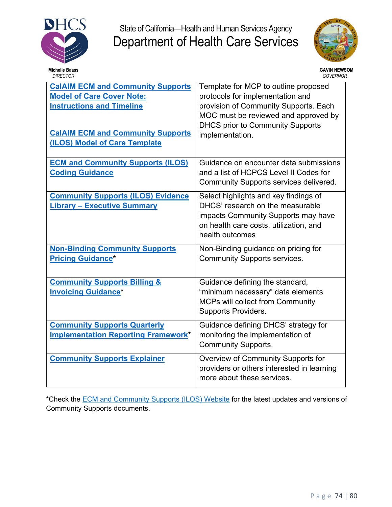



| <b>DIRECTOR</b>                                                                                                                                                                               | GOVERNOR                                                                                                                                                                                                                |
|-----------------------------------------------------------------------------------------------------------------------------------------------------------------------------------------------|-------------------------------------------------------------------------------------------------------------------------------------------------------------------------------------------------------------------------|
| <b>CalAIM ECM and Community Supports</b><br><b>Model of Care Cover Note:</b><br><b>Instructions and Timeline</b><br><b>CalAIM ECM and Community Supports</b><br>(ILOS) Model of Care Template | Template for MCP to outline proposed<br>protocols for implementation and<br>provision of Community Supports. Each<br>MOC must be reviewed and approved by<br><b>DHCS prior to Community Supports</b><br>implementation. |
| <b>ECM and Community Supports (ILOS)</b><br><b>Coding Guidance</b>                                                                                                                            | Guidance on encounter data submissions<br>and a list of HCPCS Level II Codes for<br>Community Supports services delivered.                                                                                              |
| <b>Community Supports (ILOS) Evidence</b><br><b>Library - Executive Summary</b>                                                                                                               | Select highlights and key findings of<br>DHCS' research on the measurable<br>impacts Community Supports may have<br>on health care costs, utilization, and<br>health outcomes                                           |
| <b>Non-Binding Community Supports</b><br><b>Pricing Guidance*</b>                                                                                                                             | Non-Binding guidance on pricing for<br><b>Community Supports services.</b>                                                                                                                                              |
| <b>Community Supports Billing &amp;</b><br><b>Invoicing Guidance*</b>                                                                                                                         | Guidance defining the standard,<br>"minimum necessary" data elements<br><b>MCPs will collect from Community</b><br><b>Supports Providers.</b>                                                                           |
| <b>Community Supports Quarterly</b><br><b>Implementation Reporting Framework*</b>                                                                                                             | Guidance defining DHCS' strategy for<br>monitoring the implementation of<br><b>Community Supports.</b>                                                                                                                  |
| <b>Community Supports Explainer</b>                                                                                                                                                           | Overview of Community Supports for<br>providers or others interested in learning<br>more about these services.                                                                                                          |

\*Check the [ECM and Community Supports \(ILOS\) Website](https://www.dhcs.ca.gov/Pages/ECMandILOS.aspx) for the latest updates and versions of Community Supports documents.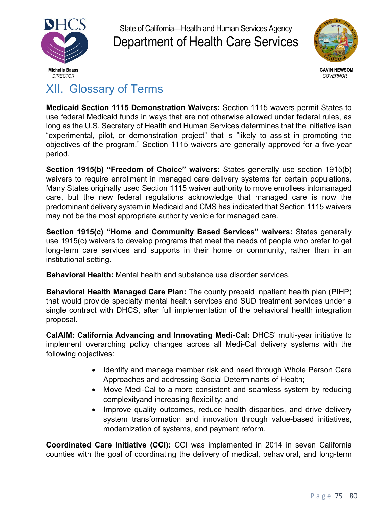



XII. Glossary of Terms

**Medicaid Section 1115 Demonstration Waivers:** Section 1115 wavers permit States to use federal Medicaid funds in ways that are not otherwise allowed under federal rules, as long as the U.S. Secretary of Health and Human Services determines that the initiative isan "experimental, pilot, or demonstration project" that is "likely to assist in promoting the objectives of the program." Section 1115 waivers are generally approved for a five-year period.

**Section 1915(b) "Freedom of Choice" waivers:** States generally use section 1915(b) waivers to require enrollment in managed care delivery systems for certain populations. Many States originally used Section 1115 waiver authority to move enrollees intomanaged care, but the new federal regulations acknowledge that managed care is now the predominant delivery system in Medicaid and CMS has indicated that Section 1115 waivers may not be the most appropriate authority vehicle for managed care.

**Section 1915(c) "Home and Community Based Services" waivers:** States generally use 1915(c) waivers to develop programs that meet the needs of people who prefer to get long-term care services and supports in their home or community, rather than in an institutional setting.

**Behavioral Health:** Mental health and substance use disorder services.

**Behavioral Health Managed Care Plan:** The county prepaid inpatient health plan (PIHP) that would provide specialty mental health services and SUD treatment services under a single contract with DHCS, after full implementation of the behavioral health integration proposal.

**CalAIM: California Advancing and Innovating Medi-Cal:** DHCS' multi-year initiative to implement overarching policy changes across all Medi-Cal delivery systems with the following objectives:

- Identify and manage member risk and need through Whole Person Care Approaches and addressing Social Determinants of Health;
- Move Medi-Cal to a more consistent and seamless system by reducing complexityand increasing flexibility; and
- Improve quality outcomes, reduce health disparities, and drive delivery system transformation and innovation through value-based initiatives, modernization of systems, and payment reform.

**Coordinated Care Initiative (CCI):** CCI was implemented in 2014 in seven California counties with the goal of coordinating the delivery of medical, behavioral, and long-term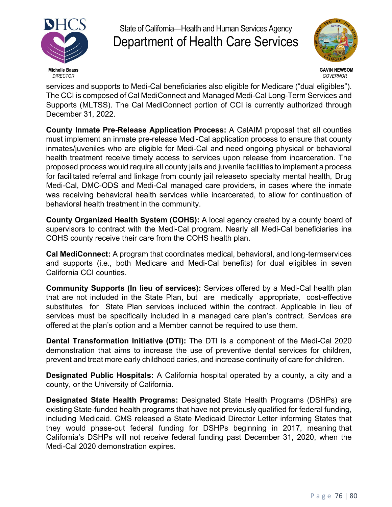



services and supports to Medi-Cal beneficiaries also eligible for Medicare ("dual eligibles"). The CCI is composed of Cal MediConnect and Managed Medi-Cal Long-Term Services and Supports (MLTSS). The Cal MediConnect portion of CCI is currently authorized through December 31, 2022.

**County Inmate Pre-Release Application Process:** A CalAIM proposal that all counties must implement an inmate pre-release Medi-Cal application process to ensure that county inmates/juveniles who are eligible for Medi-Cal and need ongoing physical or behavioral health treatment receive timely access to services upon release from incarceration. The proposed process would require all county jails and juvenile facilities to implement a process for facilitated referral and linkage from county jail releaseto specialty mental health, Drug Medi-Cal, DMC-ODS and Medi-Cal managed care providers, in cases where the inmate was receiving behavioral health services while incarcerated, to allow for continuation of behavioral health treatment in the community.

**County Organized Health System (COHS):** A local agency created by a county board of supervisors to contract with the Medi-Cal program. Nearly all Medi-Cal beneficiaries ina COHS county receive their care from the COHS health plan.

**Cal MediConnect:** A program that coordinates medical, behavioral, and long-termservices and supports (i.e., both Medicare and Medi-Cal benefits) for dual eligibles in seven California CCI counties.

**Community Supports (In lieu of services):** Services offered by a Medi-Cal health plan that are not included in the State Plan, but are medically appropriate, cost-effective substitutes for State Plan services included within the contract. Applicable in lieu of services must be specifically included in a managed care plan's contract. Services are offered at the plan's option and a Member cannot be required to use them.

**Dental Transformation Initiative (DTI):** The DTI is a component of the Medi-Cal 2020 demonstration that aims to increase the use of preventive dental services for children, prevent and treat more early childhood caries, and increase continuity of care for children.

**Designated Public Hospitals:** A California hospital operated by a county, a city and a county, or the University of California.

**Designated State Health Programs:** Designated State Health Programs (DSHPs) are existing State-funded health programs that have not previously qualified for federal funding, including Medicaid. CMS released a State Medicaid Director Letter informing States that they would phase-out federal funding for DSHPs beginning in 2017, meaning that California's DSHPs will not receive federal funding past December 31, 2020, when the Medi-Cal 2020 demonstration expires.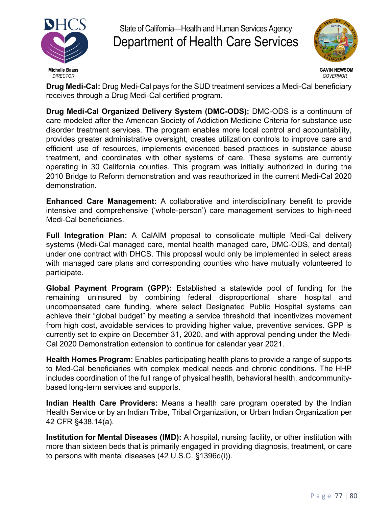



**Drug Medi-Cal:** Drug Medi-Cal pays for the SUD treatment services a Medi-Cal beneficiary receives through a Drug Medi-Cal certified program.

**Drug Medi-Cal Organized Delivery System (DMC-ODS):** DMC-ODS is a continuum of care modeled after the American Society of Addiction Medicine Criteria for substance use disorder treatment services. The program enables more local control and accountability, provides greater administrative oversight, creates utilization controls to improve care and efficient use of resources, implements evidenced based practices in substance abuse treatment, and coordinates with other systems of care. These systems are currently operating in 30 California counties. This program was initially authorized in during the 2010 Bridge to Reform demonstration and was reauthorized in the current Medi-Cal 2020 demonstration.

**Enhanced Care Management:** A collaborative and interdisciplinary benefit to provide intensive and comprehensive ('whole-person') care management services to high-need Medi-Cal beneficiaries.

**Full Integration Plan:** A CalAIM proposal to consolidate multiple Medi-Cal delivery systems (Medi-Cal managed care, mental health managed care, DMC-ODS, and dental) under one contract with DHCS. This proposal would only be implemented in select areas with managed care plans and corresponding counties who have mutually volunteered to participate.

**Global Payment Program (GPP):** Established a statewide pool of funding for the remaining uninsured by combining federal disproportional share hospital and uncompensated care funding, where select Designated Public Hospital systems can achieve their "global budget" by meeting a service threshold that incentivizes movement from high cost, avoidable services to providing higher value, preventive services. GPP is currently set to expire on December 31, 2020, and with approval pending under the Medi-Cal 2020 Demonstration extension to continue for calendar year 2021.

**Health Homes Program:** Enables participating health plans to provide a range of supports to Med-Cal beneficiaries with complex medical needs and chronic conditions. The HHP includes coordination of the full range of physical health, behavioral health, andcommunitybased long-term services and supports.

**Indian Health Care Providers:** Means a health care program operated by the Indian Health Service or by an Indian Tribe, Tribal Organization, or Urban Indian Organization per 42 CFR §438.14(a).

**Institution for Mental Diseases (IMD):** A hospital, nursing facility, or other institution with more than sixteen beds that is primarily engaged in providing diagnosis, treatment, or care to persons with mental diseases (42 U.S.C. §1396d(i)).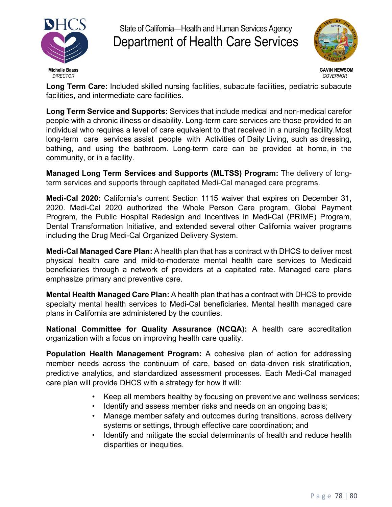



**Long Term Care:** Included skilled nursing facilities, subacute facilities, pediatric subacute facilities, and intermediate care facilities.

**Long Term Service and Supports:** Services that include medical and non-medical carefor people with a chronic illness or disability. Long-term care services are those provided to an individual who requires a level of care equivalent to that received in a nursing facility.Most long-term care services assist people with Activities of Daily Living, such as dressing, bathing, and using the bathroom. Long-term care can be provided at home, in the community, or in a facility.

**Managed Long Term Services and Supports (MLTSS) Program:** The delivery of longterm services and supports through capitated Medi-Cal managed care programs.

**Medi-Cal 2020:** California's current Section 1115 waiver that expires on December 31, 2020. Medi-Cal 2020 authorized the Whole Person Care program, Global Payment Program, the Public Hospital Redesign and Incentives in Medi-Cal (PRIME) Program, Dental Transformation Initiative, and extended several other California waiver programs including the Drug Medi-Cal Organized Delivery System.

**Medi-Cal Managed Care Plan:** A health plan that has a contract with DHCS to deliver most physical health care and mild-to-moderate mental health care services to Medicaid beneficiaries through a network of providers at a capitated rate. Managed care plans emphasize primary and preventive care.

**Mental Health Managed Care Plan:** A health plan that has a contract with DHCS to provide specialty mental health services to Medi-Cal beneficiaries. Mental health managed care plans in California are administered by the counties.

**National Committee for Quality Assurance (NCQA):** A health care accreditation organization with a focus on improving health care quality.

**Population Health Management Program:** A cohesive plan of action for addressing member needs across the continuum of care, based on data-driven risk stratification, predictive analytics, and standardized assessment processes. Each Medi-Cal managed care plan will provide DHCS with a strategy for how it will:

- Keep all members healthy by focusing on preventive and wellness services;
- Identify and assess member risks and needs on an ongoing basis;
- Manage member safety and outcomes during transitions, across delivery systems or settings, through effective care coordination; and
- Identify and mitigate the social determinants of health and reduce health disparities or inequities.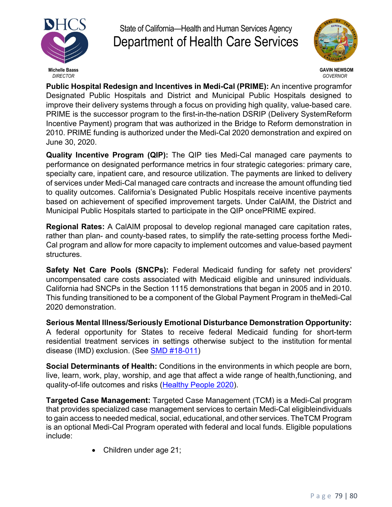



**Public Hospital Redesign and Incentives in Medi-Cal (PRIME):** An incentive programfor Designated Public Hospitals and District and Municipal Public Hospitals designed to improve their delivery systems through a focus on providing high quality, value-based care. PRIME is the successor program to the first-in-the-nation DSRIP (Delivery SystemReform Incentive Payment) program that was authorized in the Bridge to Reform demonstration in 2010. PRIME funding is authorized under the Medi-Cal 2020 demonstration and expired on June 30, 2020.

**Quality Incentive Program (QIP):** The QIP ties Medi-Cal managed care payments to performance on designated performance metrics in four strategic categories: primary care, specialty care, inpatient care, and resource utilization. The payments are linked to delivery of services under Medi-Cal managed care contracts and increase the amount offunding tied to quality outcomes. California's Designated Public Hospitals receive incentive payments based on achievement of specified improvement targets. Under CalAIM, the District and Municipal Public Hospitals started to participate in the QIP oncePRIME expired.

**Regional Rates:** A CalAIM proposal to develop regional managed care capitation rates, rather than plan- and county-based rates, to simplify the rate-setting process forthe Medi-Cal program and allow for more capacity to implement outcomes and value-based payment structures.

**Safety Net Care Pools (SNCPs):** Federal Medicaid funding for safety net providers' uncompensated care costs associated with Medicaid eligible and uninsured individuals. California had SNCPs in the Section 1115 demonstrations that began in 2005 and in 2010. This funding transitioned to be a component of the Global Payment Program in theMedi-Cal 2020 demonstration.

**Serious Mental Illness/Seriously Emotional Disturbance Demonstration Opportunity:** A federal opportunity for States to receive federal Medicaid funding for short-term residential treatment services in settings otherwise subject to the institution for mental disease (IMD) exclusion. (See SMD #18-011)

**Social Determinants of Health:** Conditions in the environments in which people are born, live, learn, work, play, worship, and age that affect a wide range of health,functioning, and quality-of-life outcomes and risks (Healthy People 2020).

**Targeted Case Management:** Targeted Case Management (TCM) is a Medi-Cal program that provides specialized case management services to certain Medi-Cal eligibleindividuals to gain access to needed medical, social, educational, and other services. TheTCM Program is an optional Medi-Cal Program operated with federal and local funds. Eligible populations include:

• Children under age 21;